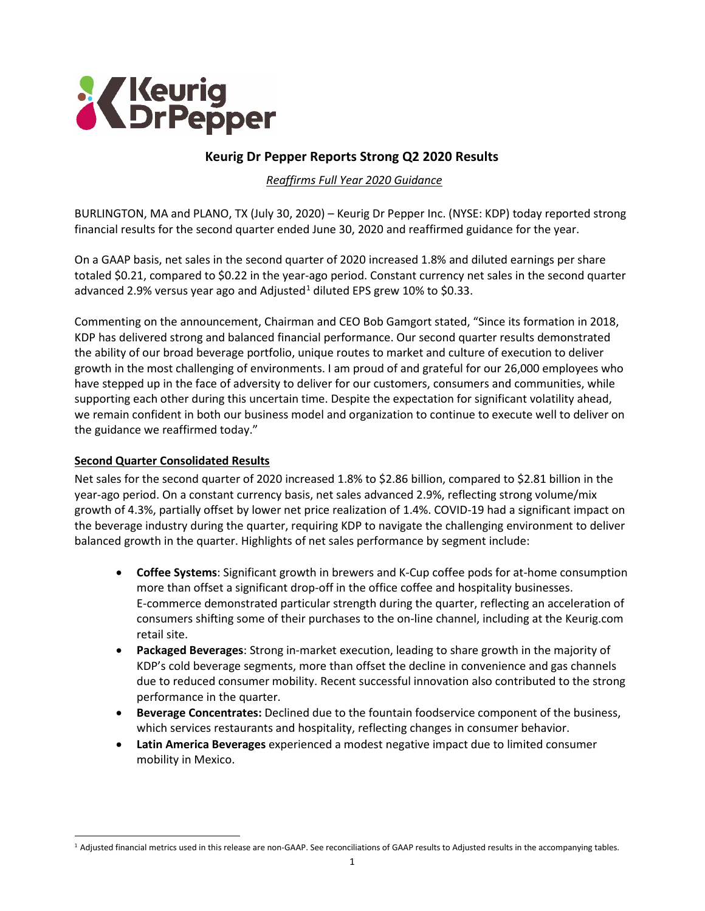

# **Keurig Dr Pepper Reports Strong Q2 2020 Results**

*Reaffirms Full Year 2020 Guidance*

BURLINGTON, MA and PLANO, TX (July 30, 2020) – Keurig Dr Pepper Inc. (NYSE: KDP) today reported strong financial results for the second quarter ended June 30, 2020 and reaffirmed guidance for the year.

On a GAAP basis, net sales in the second quarter of 2020 increased 1.8% and diluted earnings per share totaled \$0.21, compared to \$0.22 in the year-ago period. Constant currency net sales in the second quarter advanced 2.9% versus year ago and Adjusted<sup>[1](#page-0-0)</sup> diluted EPS grew 10% to \$0.33.

Commenting on the announcement, Chairman and CEO Bob Gamgort stated, "Since its formation in 2018, KDP has delivered strong and balanced financial performance. Our second quarter results demonstrated the ability of our broad beverage portfolio, unique routes to market and culture of execution to deliver growth in the most challenging of environments. I am proud of and grateful for our 26,000 employees who have stepped up in the face of adversity to deliver for our customers, consumers and communities, while supporting each other during this uncertain time. Despite the expectation for significant volatility ahead, we remain confident in both our business model and organization to continue to execute well to deliver on the guidance we reaffirmed today."

# **Second Quarter Consolidated Results**

Net sales for the second quarter of 2020 increased 1.8% to \$2.86 billion, compared to \$2.81 billion in the year-ago period. On a constant currency basis, net sales advanced 2.9%, reflecting strong volume/mix growth of 4.3%, partially offset by lower net price realization of 1.4%. COVID-19 had a significant impact on the beverage industry during the quarter, requiring KDP to navigate the challenging environment to deliver balanced growth in the quarter. Highlights of net sales performance by segment include:

- **Coffee Systems**: Significant growth in brewers and K-Cup coffee pods for at-home consumption more than offset a significant drop-off in the office coffee and hospitality businesses. E-commerce demonstrated particular strength during the quarter, reflecting an acceleration of consumers shifting some of their purchases to the on-line channel, including at the Keurig.com retail site.
- **Packaged Beverages**: Strong in-market execution, leading to share growth in the majority of KDP's cold beverage segments, more than offset the decline in convenience and gas channels due to reduced consumer mobility. Recent successful innovation also contributed to the strong performance in the quarter.
- **Beverage Concentrates:** Declined due to the fountain foodservice component of the business, which services restaurants and hospitality, reflecting changes in consumer behavior.
- **Latin America Beverages** experienced a modest negative impact due to limited consumer mobility in Mexico.

<span id="page-0-0"></span> $\overline{a}$ <sup>1</sup> Adjusted financial metrics used in this release are non-GAAP. See reconciliations of GAAP results to Adjusted results in the accompanying tables.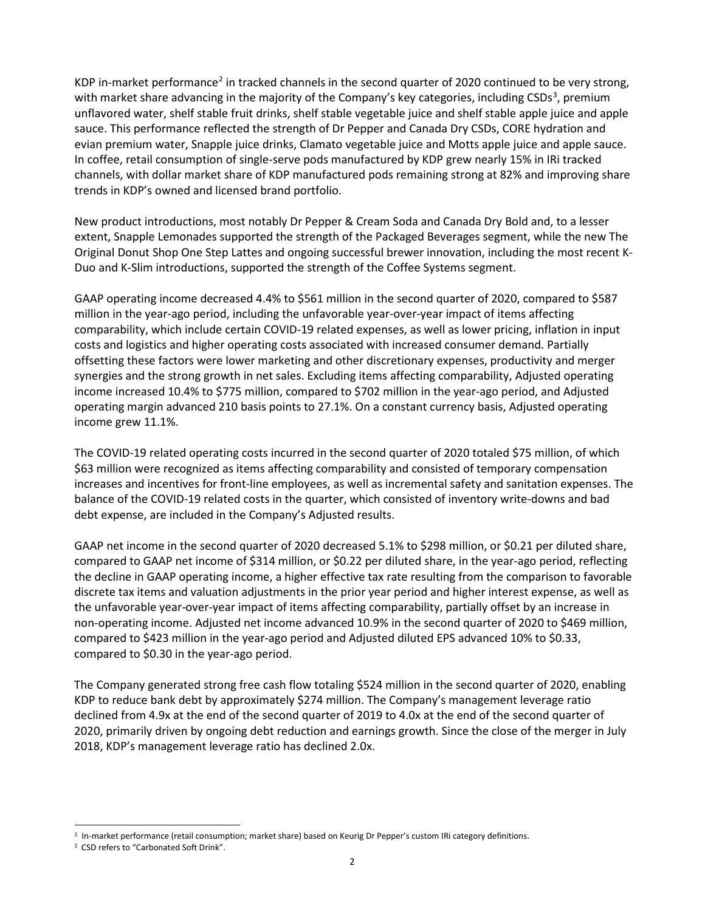KDP in-market performance<sup>[2](#page-1-0)</sup> in tracked channels in the second quarter of 2020 continued to be very strong, with market share advancing in the majority of the Company's key categories, including CSDs<sup>[3](#page-1-1)</sup>, premium unflavored water, shelf stable fruit drinks, shelf stable vegetable juice and shelf stable apple juice and apple sauce. This performance reflected the strength of Dr Pepper and Canada Dry CSDs, CORE hydration and evian premium water, Snapple juice drinks, Clamato vegetable juice and Motts apple juice and apple sauce. In coffee, retail consumption of single-serve pods manufactured by KDP grew nearly 15% in IRi tracked channels, with dollar market share of KDP manufactured pods remaining strong at 82% and improving share trends in KDP's owned and licensed brand portfolio.

New product introductions, most notably Dr Pepper & Cream Soda and Canada Dry Bold and, to a lesser extent, Snapple Lemonades supported the strength of the Packaged Beverages segment, while the new The Original Donut Shop One Step Lattes and ongoing successful brewer innovation, including the most recent K-Duo and K-Slim introductions, supported the strength of the Coffee Systems segment.

GAAP operating income decreased 4.4% to \$561 million in the second quarter of 2020, compared to \$587 million in the year-ago period, including the unfavorable year-over-year impact of items affecting comparability, which include certain COVID-19 related expenses, as well as lower pricing, inflation in input costs and logistics and higher operating costs associated with increased consumer demand. Partially offsetting these factors were lower marketing and other discretionary expenses, productivity and merger synergies and the strong growth in net sales. Excluding items affecting comparability, Adjusted operating income increased 10.4% to \$775 million, compared to \$702 million in the year-ago period, and Adjusted operating margin advanced 210 basis points to 27.1%. On a constant currency basis, Adjusted operating income grew 11.1%.

The COVID-19 related operating costs incurred in the second quarter of 2020 totaled \$75 million, of which \$63 million were recognized as items affecting comparability and consisted of temporary compensation increases and incentives for front-line employees, as well as incremental safety and sanitation expenses. The balance of the COVID-19 related costs in the quarter, which consisted of inventory write-downs and bad debt expense, are included in the Company's Adjusted results.

GAAP net income in the second quarter of 2020 decreased 5.1% to \$298 million, or \$0.21 per diluted share, compared to GAAP net income of \$314 million, or \$0.22 per diluted share, in the year-ago period, reflecting the decline in GAAP operating income, a higher effective tax rate resulting from the comparison to favorable discrete tax items and valuation adjustments in the prior year period and higher interest expense, as well as the unfavorable year-over-year impact of items affecting comparability, partially offset by an increase in non-operating income. Adjusted net income advanced 10.9% in the second quarter of 2020 to \$469 million, compared to \$423 million in the year-ago period and Adjusted diluted EPS advanced 10% to \$0.33, compared to \$0.30 in the year-ago period.

The Company generated strong free cash flow totaling \$524 million in the second quarter of 2020, enabling KDP to reduce bank debt by approximately \$274 million. The Company's management leverage ratio declined from 4.9x at the end of the second quarter of 2019 to 4.0x at the end of the second quarter of 2020, primarily driven by ongoing debt reduction and earnings growth. Since the close of the merger in July 2018, KDP's management leverage ratio has declined 2.0x.

 $\overline{a}$ <sup>2</sup> In-market performance (retail consumption; market share) based on Keurig Dr Pepper's custom IRi category definitions.

<span id="page-1-1"></span><span id="page-1-0"></span><sup>3</sup> CSD refers to "Carbonated Soft Drink".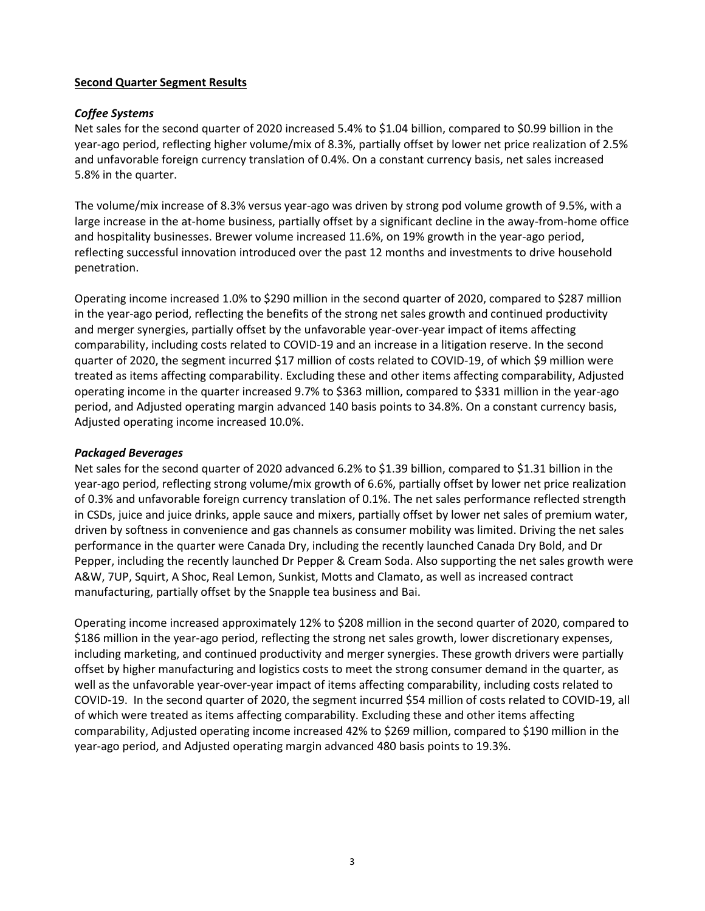# **Second Quarter Segment Results**

# *Coffee Systems*

Net sales for the second quarter of 2020 increased 5.4% to \$1.04 billion, compared to \$0.99 billion in the year-ago period, reflecting higher volume/mix of 8.3%, partially offset by lower net price realization of 2.5% and unfavorable foreign currency translation of 0.4%. On a constant currency basis, net sales increased 5.8% in the quarter.

The volume/mix increase of 8.3% versus year-ago was driven by strong pod volume growth of 9.5%, with a large increase in the at-home business, partially offset by a significant decline in the away-from-home office and hospitality businesses. Brewer volume increased 11.6%, on 19% growth in the year-ago period, reflecting successful innovation introduced over the past 12 months and investments to drive household penetration.

Operating income increased 1.0% to \$290 million in the second quarter of 2020, compared to \$287 million in the year-ago period, reflecting the benefits of the strong net sales growth and continued productivity and merger synergies, partially offset by the unfavorable year-over-year impact of items affecting comparability, including costs related to COVID-19 and an increase in a litigation reserve. In the second quarter of 2020, the segment incurred \$17 million of costs related to COVID-19, of which \$9 million were treated as items affecting comparability. Excluding these and other items affecting comparability, Adjusted operating income in the quarter increased 9.7% to \$363 million, compared to \$331 million in the year-ago period, and Adjusted operating margin advanced 140 basis points to 34.8%. On a constant currency basis, Adjusted operating income increased 10.0%.

# *Packaged Beverages*

Net sales for the second quarter of 2020 advanced 6.2% to \$1.39 billion, compared to \$1.31 billion in the year-ago period, reflecting strong volume/mix growth of 6.6%, partially offset by lower net price realization of 0.3% and unfavorable foreign currency translation of 0.1%. The net sales performance reflected strength in CSDs, juice and juice drinks, apple sauce and mixers, partially offset by lower net sales of premium water, driven by softness in convenience and gas channels as consumer mobility was limited. Driving the net sales performance in the quarter were Canada Dry, including the recently launched Canada Dry Bold, and Dr Pepper, including the recently launched Dr Pepper & Cream Soda. Also supporting the net sales growth were A&W, 7UP, Squirt, A Shoc, Real Lemon, Sunkist, Motts and Clamato, as well as increased contract manufacturing, partially offset by the Snapple tea business and Bai.

Operating income increased approximately 12% to \$208 million in the second quarter of 2020, compared to \$186 million in the year-ago period, reflecting the strong net sales growth, lower discretionary expenses, including marketing, and continued productivity and merger synergies. These growth drivers were partially offset by higher manufacturing and logistics costs to meet the strong consumer demand in the quarter, as well as the unfavorable year-over-year impact of items affecting comparability, including costs related to COVID-19. In the second quarter of 2020, the segment incurred \$54 million of costs related to COVID-19, all of which were treated as items affecting comparability. Excluding these and other items affecting comparability, Adjusted operating income increased 42% to \$269 million, compared to \$190 million in the year-ago period, and Adjusted operating margin advanced 480 basis points to 19.3%.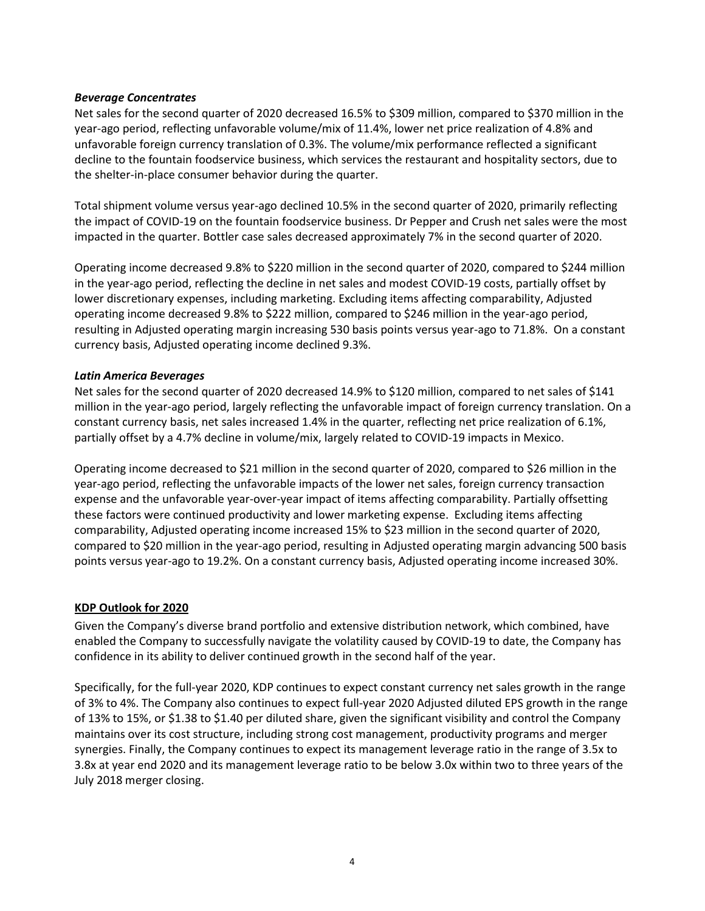# *Beverage Concentrates*

Net sales for the second quarter of 2020 decreased 16.5% to \$309 million, compared to \$370 million in the year-ago period, reflecting unfavorable volume/mix of 11.4%, lower net price realization of 4.8% and unfavorable foreign currency translation of 0.3%. The volume/mix performance reflected a significant decline to the fountain foodservice business, which services the restaurant and hospitality sectors, due to the shelter-in-place consumer behavior during the quarter.

Total shipment volume versus year-ago declined 10.5% in the second quarter of 2020, primarily reflecting the impact of COVID-19 on the fountain foodservice business. Dr Pepper and Crush net sales were the most impacted in the quarter. Bottler case sales decreased approximately 7% in the second quarter of 2020.

Operating income decreased 9.8% to \$220 million in the second quarter of 2020, compared to \$244 million in the year-ago period, reflecting the decline in net sales and modest COVID-19 costs, partially offset by lower discretionary expenses, including marketing. Excluding items affecting comparability, Adjusted operating income decreased 9.8% to \$222 million, compared to \$246 million in the year-ago period, resulting in Adjusted operating margin increasing 530 basis points versus year-ago to 71.8%. On a constant currency basis, Adjusted operating income declined 9.3%.

# *Latin America Beverages*

Net sales for the second quarter of 2020 decreased 14.9% to \$120 million, compared to net sales of \$141 million in the year-ago period, largely reflecting the unfavorable impact of foreign currency translation. On a constant currency basis, net sales increased 1.4% in the quarter, reflecting net price realization of 6.1%, partially offset by a 4.7% decline in volume/mix, largely related to COVID-19 impacts in Mexico.

Operating income decreased to \$21 million in the second quarter of 2020, compared to \$26 million in the year-ago period, reflecting the unfavorable impacts of the lower net sales, foreign currency transaction expense and the unfavorable year-over-year impact of items affecting comparability. Partially offsetting these factors were continued productivity and lower marketing expense. Excluding items affecting comparability, Adjusted operating income increased 15% to \$23 million in the second quarter of 2020, compared to \$20 million in the year-ago period, resulting in Adjusted operating margin advancing 500 basis points versus year-ago to 19.2%. On a constant currency basis, Adjusted operating income increased 30%.

# **KDP Outlook for 2020**

Given the Company's diverse brand portfolio and extensive distribution network, which combined, have enabled the Company to successfully navigate the volatility caused by COVID-19 to date, the Company has confidence in its ability to deliver continued growth in the second half of the year.

Specifically, for the full-year 2020, KDP continues to expect constant currency net sales growth in the range of 3% to 4%. The Company also continues to expect full-year 2020 Adjusted diluted EPS growth in the range of 13% to 15%, or \$1.38 to \$1.40 per diluted share, given the significant visibility and control the Company maintains over its cost structure, including strong cost management, productivity programs and merger synergies. Finally, the Company continues to expect its management leverage ratio in the range of 3.5x to 3.8x at year end 2020 and its management leverage ratio to be below 3.0x within two to three years of the July 2018 merger closing.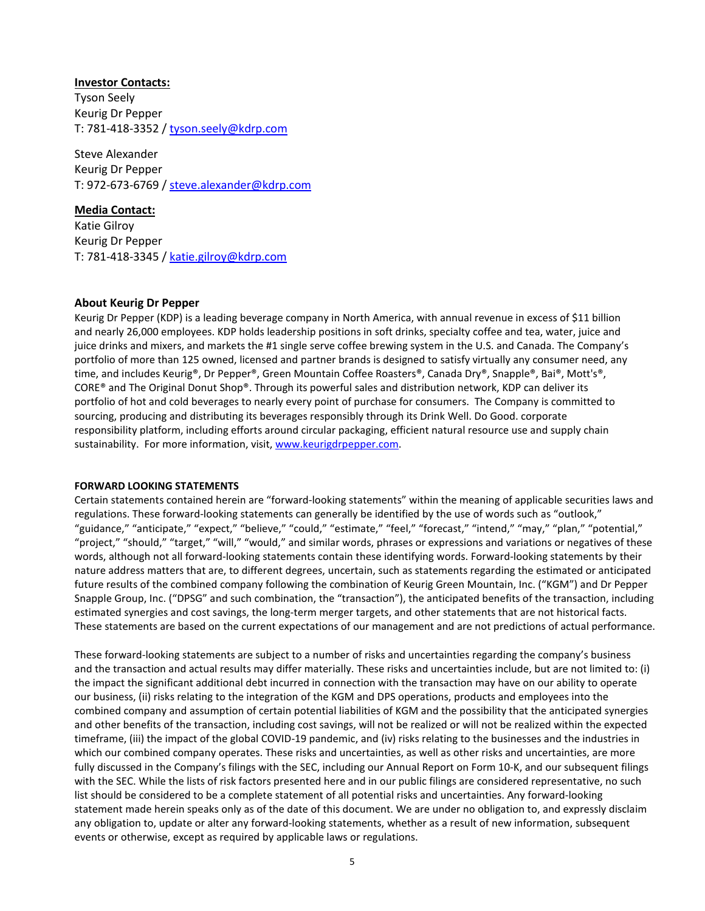### **Investor Contacts:**

Tyson Seely Keurig Dr Pepper T: 781-418-3352 / [tyson.seely@kdrp.com](mailto:tyson.seely@kdrp.com)

Steve Alexander Keurig Dr Pepper T: 972-673-6769 / [steve.alexander@kdrp.com](mailto:steve.alexander@kdrp.com)

# **Media Contact:**

Katie Gilroy Keurig Dr Pepper T: 781-418-3345 / [katie.gilroy@kdrp.com](mailto:katie.gilroy@kdrp.com)

### **About Keurig Dr Pepper**

Keurig Dr Pepper (KDP) is a leading beverage company in North America, with annual revenue in excess of \$11 billion and nearly 26,000 employees. KDP holds leadership positions in soft drinks, specialty coffee and tea, water, juice and juice drinks and mixers, and markets the #1 single serve coffee brewing system in the U.S. and Canada. The Company's portfolio of more than 125 owned, licensed and partner brands is designed to satisfy virtually any consumer need, any time, and includes Keurig®, Dr Pepper®, Green Mountain Coffee Roasters®, Canada Dry®, Snapple®, Bai®, Mott's®, CORE® and The Original Donut Shop®. Through its powerful sales and distribution network, KDP can deliver its portfolio of hot and cold beverages to nearly every point of purchase for consumers. The Company is committed to sourcing, producing and distributing its beverages responsibly through its Drink Well. Do Good. corporate responsibility platform, including efforts around circular packaging, efficient natural resource use and supply chain sustainability. For more information, visit, [www.keurigdrpepper.com.](http://www.keurigdrpepper.com/)

#### **FORWARD LOOKING STATEMENTS**

Certain statements contained herein are "forward-looking statements" within the meaning of applicable securities laws and regulations. These forward-looking statements can generally be identified by the use of words such as "outlook," "guidance," "anticipate," "expect," "believe," "could," "estimate," "feel," "forecast," "intend," "may," "plan," "potential," "project," "should," "target," "will," "would," and similar words, phrases or expressions and variations or negatives of these words, although not all forward-looking statements contain these identifying words. Forward-looking statements by their nature address matters that are, to different degrees, uncertain, such as statements regarding the estimated or anticipated future results of the combined company following the combination of Keurig Green Mountain, Inc. ("KGM") and Dr Pepper Snapple Group, Inc. ("DPSG" and such combination, the "transaction"), the anticipated benefits of the transaction, including estimated synergies and cost savings, the long-term merger targets, and other statements that are not historical facts. These statements are based on the current expectations of our management and are not predictions of actual performance.

These forward-looking statements are subject to a number of risks and uncertainties regarding the company's business and the transaction and actual results may differ materially. These risks and uncertainties include, but are not limited to: (i) the impact the significant additional debt incurred in connection with the transaction may have on our ability to operate our business, (ii) risks relating to the integration of the KGM and DPS operations, products and employees into the combined company and assumption of certain potential liabilities of KGM and the possibility that the anticipated synergies and other benefits of the transaction, including cost savings, will not be realized or will not be realized within the expected timeframe, (iii) the impact of the global COVID-19 pandemic, and (iv) risks relating to the businesses and the industries in which our combined company operates. These risks and uncertainties, as well as other risks and uncertainties, are more fully discussed in the Company's filings with the SEC, including our Annual Report on Form 10-K, and our subsequent filings with the SEC. While the lists of risk factors presented here and in our public filings are considered representative, no such list should be considered to be a complete statement of all potential risks and uncertainties. Any forward-looking statement made herein speaks only as of the date of this document. We are under no obligation to, and expressly disclaim any obligation to, update or alter any forward-looking statements, whether as a result of new information, subsequent events or otherwise, except as required by applicable laws or regulations.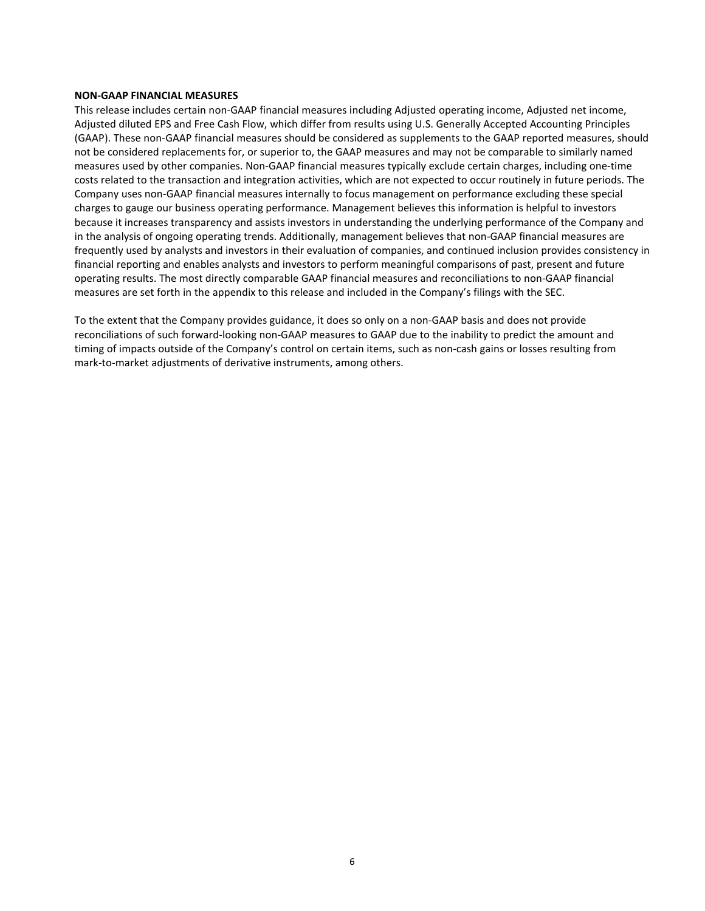#### **NON-GAAP FINANCIAL MEASURES**

This release includes certain non-GAAP financial measures including Adjusted operating income, Adjusted net income, Adjusted diluted EPS and Free Cash Flow, which differ from results using U.S. Generally Accepted Accounting Principles (GAAP). These non-GAAP financial measures should be considered as supplements to the GAAP reported measures, should not be considered replacements for, or superior to, the GAAP measures and may not be comparable to similarly named measures used by other companies. Non-GAAP financial measures typically exclude certain charges, including one-time costs related to the transaction and integration activities, which are not expected to occur routinely in future periods. The Company uses non-GAAP financial measures internally to focus management on performance excluding these special charges to gauge our business operating performance. Management believes this information is helpful to investors because it increases transparency and assists investors in understanding the underlying performance of the Company and in the analysis of ongoing operating trends. Additionally, management believes that non-GAAP financial measures are frequently used by analysts and investors in their evaluation of companies, and continued inclusion provides consistency in financial reporting and enables analysts and investors to perform meaningful comparisons of past, present and future operating results. The most directly comparable GAAP financial measures and reconciliations to non-GAAP financial measures are set forth in the appendix to this release and included in the Company's filings with the SEC.

To the extent that the Company provides guidance, it does so only on a non-GAAP basis and does not provide reconciliations of such forward-looking non-GAAP measures to GAAP due to the inability to predict the amount and timing of impacts outside of the Company's control on certain items, such as non-cash gains or losses resulting from mark-to-market adjustments of derivative instruments, among others.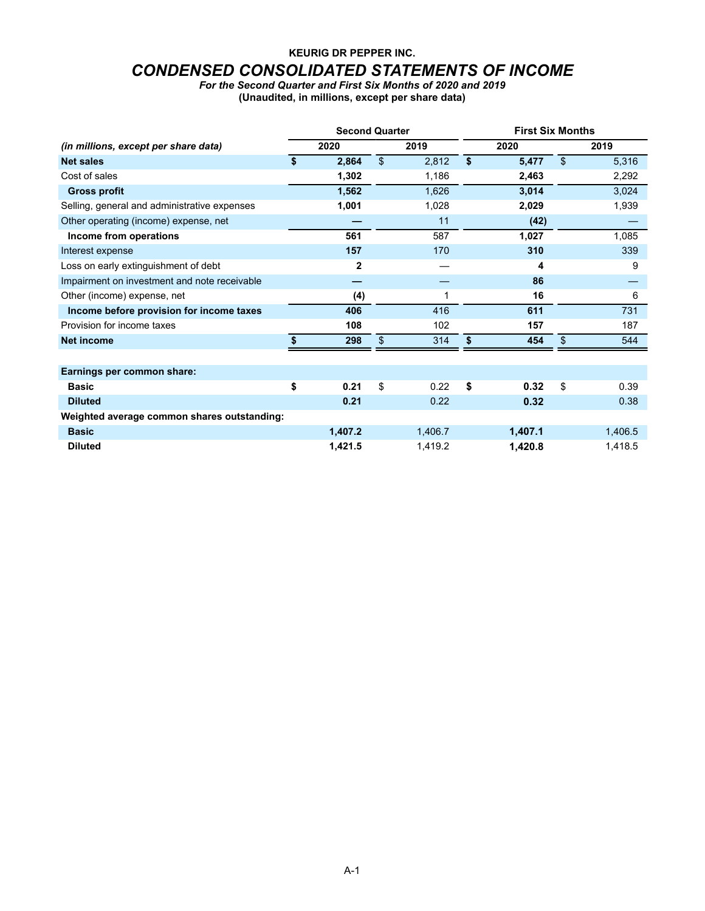# **KEURIG DR PEPPER INC.** *CONDENSED CONSOLIDATED STATEMENTS OF INCOME*

*For the Second Quarter and First Six Months of 2020 and 2019* **(Unaudited, in millions, except per share data)**

|                                              | <b>Second Quarter</b> |             | <b>First Six Months</b> |                |         |
|----------------------------------------------|-----------------------|-------------|-------------------------|----------------|---------|
| (in millions, except per share data)         | 2020                  | 2019        | 2020                    |                | 2019    |
| <b>Net sales</b>                             | \$<br>2,864           | \$<br>2,812 | \$<br>5,477             | $\mathfrak{S}$ | 5,316   |
| Cost of sales                                | 1,302                 | 1,186       | 2,463                   |                | 2,292   |
| <b>Gross profit</b>                          | 1,562                 | 1,626       | 3,014                   |                | 3,024   |
| Selling, general and administrative expenses | 1,001                 | 1,028       | 2,029                   |                | 1,939   |
| Other operating (income) expense, net        |                       | 11          | (42)                    |                |         |
| Income from operations                       | 561                   | 587         | 1,027                   |                | 1,085   |
| Interest expense                             | 157                   | 170         | 310                     |                | 339     |
| Loss on early extinguishment of debt         | $\overline{2}$        |             | 4                       |                | 9       |
| Impairment on investment and note receivable |                       |             | 86                      |                |         |
| Other (income) expense, net                  | (4)                   | 1           | 16                      |                | 6       |
| Income before provision for income taxes     | 406                   | 416         | 611                     |                | 731     |
| Provision for income taxes                   | 108                   | 102         | 157                     |                | 187     |
| <b>Net income</b>                            | \$<br>298             | \$<br>314   | \$<br>454               | \$             | 544     |
|                                              |                       |             |                         |                |         |
| Earnings per common share:                   |                       |             |                         |                |         |
| <b>Basic</b>                                 | \$<br>0.21            | \$<br>0.22  | \$<br>0.32              | \$             | 0.39    |
| <b>Diluted</b>                               | 0.21                  | 0.22        | 0.32                    |                | 0.38    |
| Weighted average common shares outstanding:  |                       |             |                         |                |         |
| <b>Basic</b>                                 | 1,407.2               | 1,406.7     | 1,407.1                 |                | 1,406.5 |
| <b>Diluted</b>                               | 1,421.5               | 1,419.2     | 1,420.8                 |                | 1,418.5 |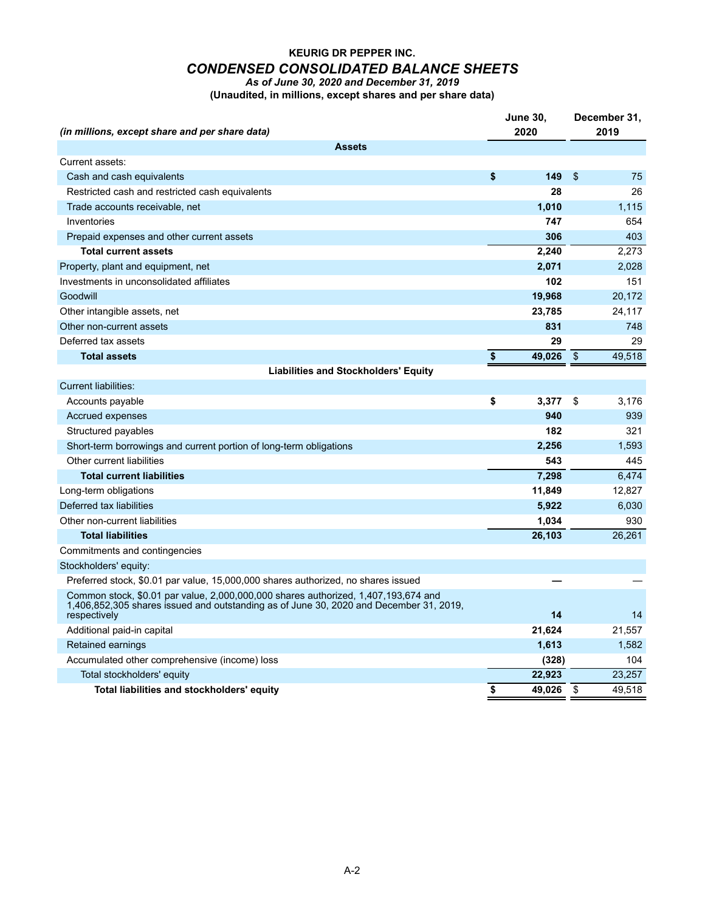# **KEURIG DR PEPPER INC.** *CONDENSED CONSOLIDATED BALANCE SHEETS*

*As of June 30, 2020 and December 31, 2019* **(Unaudited, in millions, except shares and per share data)**

|                                                                                                                                                                                              | June 30,        | December 31, |
|----------------------------------------------------------------------------------------------------------------------------------------------------------------------------------------------|-----------------|--------------|
| (in millions, except share and per share data)                                                                                                                                               | 2020            | 2019         |
| <b>Assets</b>                                                                                                                                                                                |                 |              |
| Current assets:                                                                                                                                                                              |                 |              |
| Cash and cash equivalents                                                                                                                                                                    | \$<br>149       | \$<br>75     |
| Restricted cash and restricted cash equivalents                                                                                                                                              | 28              | 26           |
| Trade accounts receivable, net                                                                                                                                                               | 1,010           | 1,115        |
| Inventories                                                                                                                                                                                  | 747             | 654          |
| Prepaid expenses and other current assets                                                                                                                                                    | 306             | 403          |
| <b>Total current assets</b>                                                                                                                                                                  | 2,240           | 2,273        |
| Property, plant and equipment, net                                                                                                                                                           | 2,071           | 2.028        |
| Investments in unconsolidated affiliates                                                                                                                                                     | 102             | 151          |
| Goodwill                                                                                                                                                                                     | 19,968          | 20,172       |
| Other intangible assets, net                                                                                                                                                                 | 23,785          | 24,117       |
| Other non-current assets                                                                                                                                                                     | 831             | 748          |
| Deferred tax assets                                                                                                                                                                          | 29              | 29           |
| <b>Total assets</b>                                                                                                                                                                          | \$<br>49,026 \$ | 49.518       |
| <b>Liabilities and Stockholders' Equity</b>                                                                                                                                                  |                 |              |
| <b>Current liabilities:</b>                                                                                                                                                                  |                 |              |
| Accounts payable                                                                                                                                                                             | \$<br>3,377     | \$<br>3,176  |
| Accrued expenses                                                                                                                                                                             | 940             | 939          |
| Structured payables                                                                                                                                                                          | 182             | 321          |
| Short-term borrowings and current portion of long-term obligations                                                                                                                           | 2,256           | 1,593        |
| Other current liabilities                                                                                                                                                                    | 543             | 445          |
| <b>Total current liabilities</b>                                                                                                                                                             | 7,298           | 6.474        |
| Long-term obligations                                                                                                                                                                        | 11,849          | 12,827       |
| Deferred tax liabilities                                                                                                                                                                     | 5,922           | 6,030        |
| Other non-current liabilities                                                                                                                                                                | 1,034           | 930          |
| <b>Total liabilities</b>                                                                                                                                                                     | 26,103          | 26,261       |
| Commitments and contingencies                                                                                                                                                                |                 |              |
| Stockholders' equity:                                                                                                                                                                        |                 |              |
| Preferred stock, \$0.01 par value, 15,000,000 shares authorized, no shares issued                                                                                                            |                 |              |
| Common stock, \$0.01 par value, 2,000,000,000 shares authorized, 1,407,193,674 and<br>1,406,852,305 shares issued and outstanding as of June 30, 2020 and December 31, 2019,<br>respectively | 14              | 14           |
| Additional paid-in capital                                                                                                                                                                   | 21,624          | 21,557       |
| Retained earnings                                                                                                                                                                            | 1,613           | 1,582        |
| Accumulated other comprehensive (income) loss                                                                                                                                                | (328)           | 104          |
| Total stockholders' equity                                                                                                                                                                   | 22,923          | 23,257       |
| Total liabilities and stockholders' equity                                                                                                                                                   | \$<br>49,026    | \$<br>49,518 |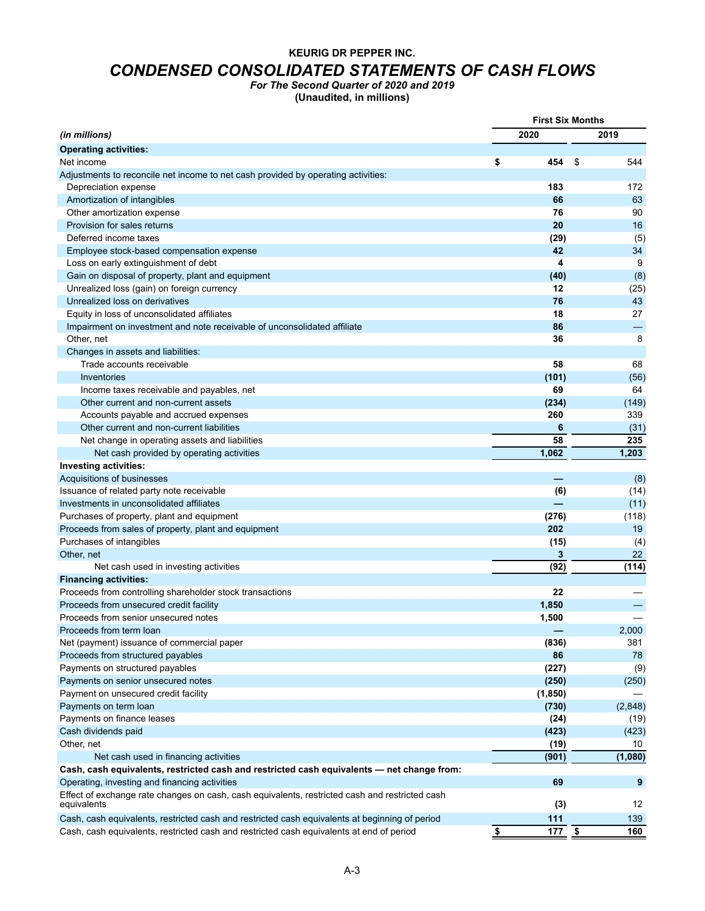# **KEURIG DR PEPPER INC.**

# *CONDENSED CONSOLIDATED STATEMENTS OF CASH FLOWS*

*For The Second Quarter of 2020 and 2019*

**(Unaudited, in millions)**

|                                                                                                |                                      | <b>First Six Months</b> |           |
|------------------------------------------------------------------------------------------------|--------------------------------------|-------------------------|-----------|
| (in millions)                                                                                  |                                      | 2020                    | 2019      |
| <b>Operating activities:</b>                                                                   |                                      |                         |           |
| Net income                                                                                     | \$                                   | 454                     | \$<br>544 |
| Adjustments to reconcile net income to net cash provided by operating activities:              |                                      |                         |           |
| Depreciation expense                                                                           |                                      | 183                     | 172       |
| Amortization of intangibles                                                                    |                                      | 66                      | 63        |
| Other amortization expense                                                                     |                                      | 76                      | 90        |
| Provision for sales returns                                                                    |                                      | 20                      | 16        |
| Deferred income taxes                                                                          |                                      | (29)                    | (5)       |
| Employee stock-based compensation expense                                                      |                                      | 42                      | 34        |
| Loss on early extinguishment of debt                                                           |                                      | 4                       | 9         |
| Gain on disposal of property, plant and equipment                                              |                                      | (40)                    | (8)       |
| Unrealized loss (gain) on foreign currency                                                     |                                      | 12                      | (25)      |
| Unrealized loss on derivatives                                                                 |                                      | 76                      | 43        |
| Equity in loss of unconsolidated affiliates                                                    |                                      | 18                      | 27        |
| Impairment on investment and note receivable of unconsolidated affiliate                       |                                      | 86                      | —         |
| Other, net                                                                                     |                                      | 36                      | 8         |
| Changes in assets and liabilities:                                                             |                                      |                         |           |
| Trade accounts receivable                                                                      |                                      | 58                      | 68        |
| Inventories                                                                                    |                                      | (101)                   | (56)      |
| Income taxes receivable and payables, net                                                      |                                      | 69                      | 64        |
| Other current and non-current assets                                                           |                                      | (234)                   | (149)     |
| Accounts payable and accrued expenses                                                          |                                      | 260                     | 339       |
| Other current and non-current liabilities                                                      |                                      | 6                       |           |
|                                                                                                |                                      | 58                      | (31)      |
| Net change in operating assets and liabilities                                                 |                                      | 1,062                   | 235       |
| Net cash provided by operating activities                                                      |                                      |                         | 1,203     |
| Investing activities:                                                                          |                                      |                         |           |
| Acquisitions of businesses                                                                     |                                      |                         | (8)       |
| Issuance of related party note receivable                                                      |                                      | (6)                     | (14)      |
| Investments in unconsolidated affiliates                                                       |                                      |                         | (11)      |
| Purchases of property, plant and equipment                                                     |                                      | (276)                   | (118)     |
| Proceeds from sales of property, plant and equipment                                           |                                      | 202                     | 19        |
| Purchases of intangibles                                                                       |                                      | (15)                    | (4)       |
| Other, net                                                                                     |                                      | 3                       | 22        |
| Net cash used in investing activities                                                          |                                      | (92)                    | (114)     |
| <b>Financing activities:</b>                                                                   |                                      |                         |           |
| Proceeds from controlling shareholder stock transactions                                       |                                      | 22                      |           |
| Proceeds from unsecured credit facility                                                        |                                      | 1,850                   |           |
| Proceeds from senior unsecured notes                                                           |                                      | 1,500                   |           |
| Proceeds from term loan                                                                        |                                      |                         | 2,000     |
| Net (payment) issuance of commercial paper                                                     |                                      | (836)                   | 381       |
| Proceeds from structured payables                                                              |                                      | 86                      | 78        |
| Payments on structured payables                                                                |                                      | (227)                   | (9)       |
| Payments on senior unsecured notes                                                             |                                      | (250)                   | (250)     |
| Payment on unsecured credit facility                                                           |                                      | (1, 850)                |           |
| Payments on term loan                                                                          |                                      | (730)                   | (2,848)   |
| Payments on finance leases                                                                     |                                      | (24)                    | (19)      |
| Cash dividends paid                                                                            |                                      | (423)                   | (423)     |
| Other, net                                                                                     |                                      | (19)                    | 10        |
| Net cash used in financing activities                                                          |                                      | (901)                   | (1,080)   |
| Cash, cash equivalents, restricted cash and restricted cash equivalents - net change from:     |                                      |                         |           |
| Operating, investing and financing activities                                                  |                                      | 69                      | 9         |
| Effect of exchange rate changes on cash, cash equivalents, restricted cash and restricted cash |                                      |                         |           |
| equivalents                                                                                    |                                      | (3)                     | 12        |
| Cash, cash equivalents, restricted cash and restricted cash equivalents at beginning of period |                                      | 111                     | 139       |
| Cash, cash equivalents, restricted cash and restricted cash equivalents at end of period       | $\overline{\boldsymbol{\mathsf{s}}}$ | $177$ \$                | 160       |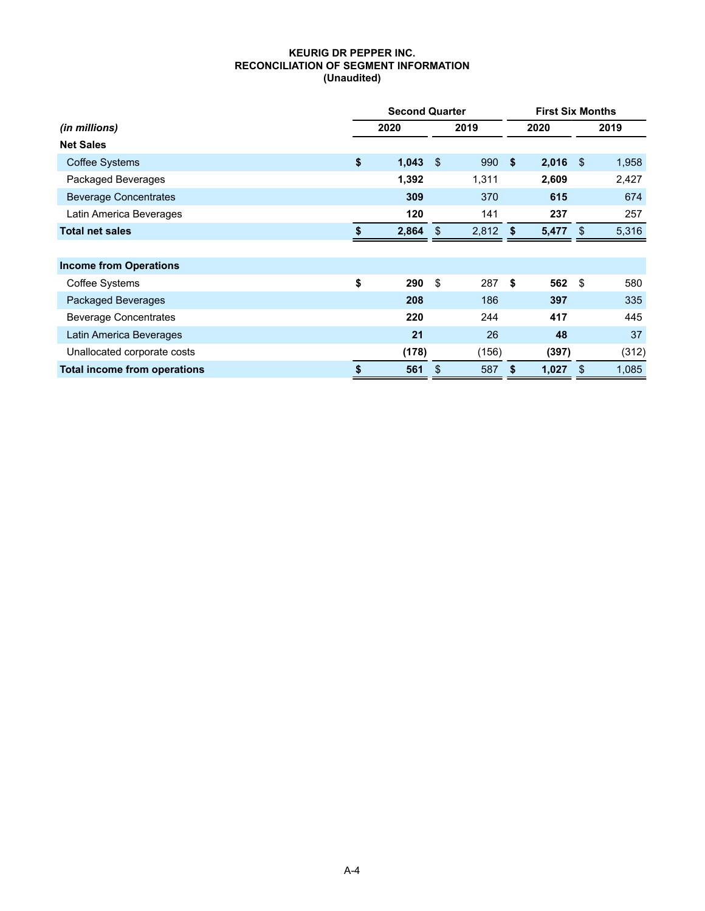#### **KEURIG DR PEPPER INC. RECONCILIATION OF SEGMENT INFORMATION (Unaudited)**

|                                     | <b>Second Quarter</b> |            |                |       |    | <b>First Six Months</b> |     |       |  |  |
|-------------------------------------|-----------------------|------------|----------------|-------|----|-------------------------|-----|-------|--|--|
| (in millions)                       |                       | 2020       |                | 2019  |    | 2020                    |     | 2019  |  |  |
| <b>Net Sales</b>                    |                       |            |                |       |    |                         |     |       |  |  |
| Coffee Systems                      | \$                    | $1,043$ \$ |                | 990   | \$ | 2,016                   | -\$ | 1,958 |  |  |
| Packaged Beverages                  |                       | 1,392      |                | 1,311 |    | 2,609                   |     | 2,427 |  |  |
| <b>Beverage Concentrates</b>        |                       | 309        |                | 370   |    | 615                     |     | 674   |  |  |
| Latin America Beverages             |                       | 120        |                | 141   |    | 237                     |     | 257   |  |  |
| <b>Total net sales</b>              | S                     | 2,864      | $\mathfrak{L}$ | 2,812 | \$ | 5,477                   | -\$ | 5,316 |  |  |
|                                     |                       |            |                |       |    |                         |     |       |  |  |
| <b>Income from Operations</b>       |                       |            |                |       |    |                         |     |       |  |  |
| Coffee Systems                      | \$                    | 290        | \$             | 287   | \$ | 562                     | S   | 580   |  |  |
| Packaged Beverages                  |                       | 208        |                | 186   |    | 397                     |     | 335   |  |  |
| <b>Beverage Concentrates</b>        |                       | 220        |                | 244   |    | 417                     |     | 445   |  |  |
| Latin America Beverages             |                       | 21         |                | 26    |    | 48                      |     | 37    |  |  |
| Unallocated corporate costs         |                       | (178)      |                | (156) |    | (397)                   |     | (312) |  |  |
| <b>Total income from operations</b> | \$                    | 561        | \$             | 587   | \$ | 1,027                   | \$  | 1,085 |  |  |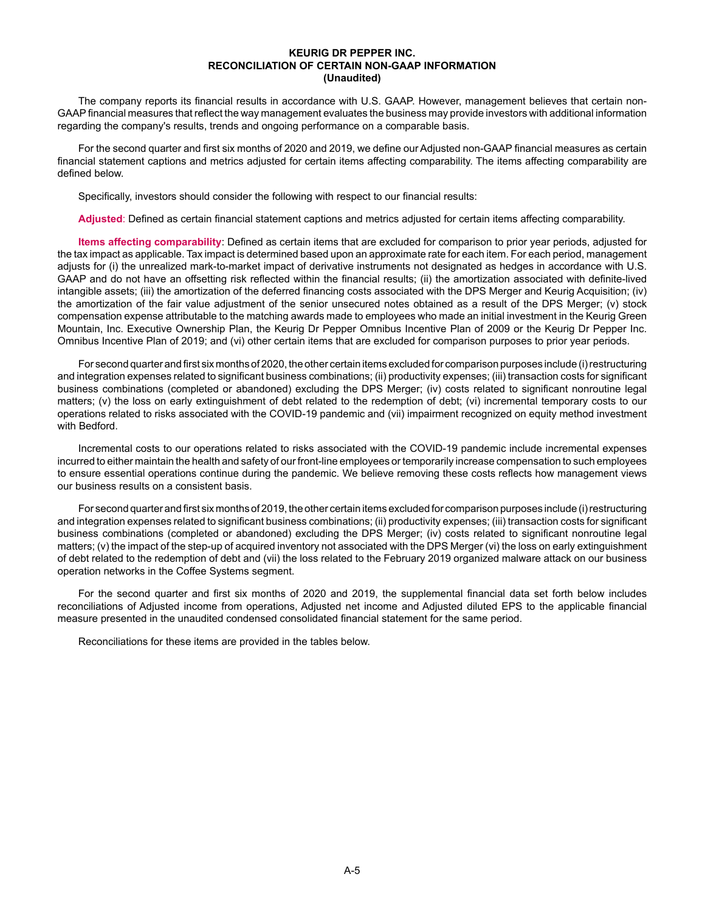#### **KEURIG DR PEPPER INC. RECONCILIATION OF CERTAIN NON-GAAP INFORMATION (Unaudited)**

The company reports its financial results in accordance with U.S. GAAP. However, management believes that certain non-GAAPfinancial measures that reflect the way management evaluates the business may provide investors with additional information regarding the company's results, trends and ongoing performance on a comparable basis.

For the second quarter and first six months of 2020 and 2019, we define our Adjusted non-GAAP financial measures as certain financial statement captions and metrics adjusted for certain items affecting comparability. The items affecting comparability are defined below.

Specifically, investors should consider the following with respect to our financial results:

**Adjusted**: Defined as certain financial statement captions and metrics adjusted for certain items affecting comparability.

**Items affecting comparability**: Defined as certain items that are excluded for comparison to prior year periods, adjusted for the tax impact as applicable. Tax impact is determined based upon an approximate rate for each item. For each period, management adjusts for (i) the unrealized mark-to-market impact of derivative instruments not designated as hedges in accordance with U.S. GAAP and do not have an offsetting risk reflected within the financial results; (ii) the amortization associated with definite-lived intangible assets; (iii) the amortization of the deferred financing costs associated with the DPS Merger and Keurig Acquisition; (iv) the amortization of the fair value adjustment of the senior unsecured notes obtained as a result of the DPS Merger; (v) stock compensation expense attributable to the matching awards made to employees who made an initial investment in the Keurig Green Mountain, Inc. Executive Ownership Plan, the Keurig Dr Pepper Omnibus Incentive Plan of 2009 or the Keurig Dr Pepper Inc. Omnibus Incentive Plan of 2019; and (vi) other certain items that are excluded for comparison purposes to prior year periods.

For second quarter and first six months of 2020, the other certain items excluded for comparison purposes include (i) restructuring and integration expenses related to significant business combinations; (ii) productivity expenses; (iii) transaction costs for significant business combinations (completed or abandoned) excluding the DPS Merger; (iv) costs related to significant nonroutine legal matters; (v) the loss on early extinguishment of debt related to the redemption of debt; (vi) incremental temporary costs to our operations related to risks associated with the COVID-19 pandemic and (vii) impairment recognized on equity method investment with Bedford.

Incremental costs to our operations related to risks associated with the COVID-19 pandemic include incremental expenses incurred to either maintain the health and safety of our front-line employees or temporarily increase compensation to such employees to ensure essential operations continue during the pandemic. We believe removing these costs reflects how management views our business results on a consistent basis.

For second quarter and first six months of 2019, the other certain items excluded for comparison purposes include (i) restructuring and integration expenses related to significant business combinations; (ii) productivity expenses; (iii) transaction costs for significant business combinations (completed or abandoned) excluding the DPS Merger; (iv) costs related to significant nonroutine legal matters; (v) the impact of the step-up of acquired inventory not associated with the DPS Merger (vi) the loss on early extinguishment of debt related to the redemption of debt and (vii) the loss related to the February 2019 organized malware attack on our business operation networks in the Coffee Systems segment.

For the second quarter and first six months of 2020 and 2019, the supplemental financial data set forth below includes reconciliations of Adjusted income from operations, Adjusted net income and Adjusted diluted EPS to the applicable financial measure presented in the unaudited condensed consolidated financial statement for the same period.

Reconciliations for these items are provided in the tables below.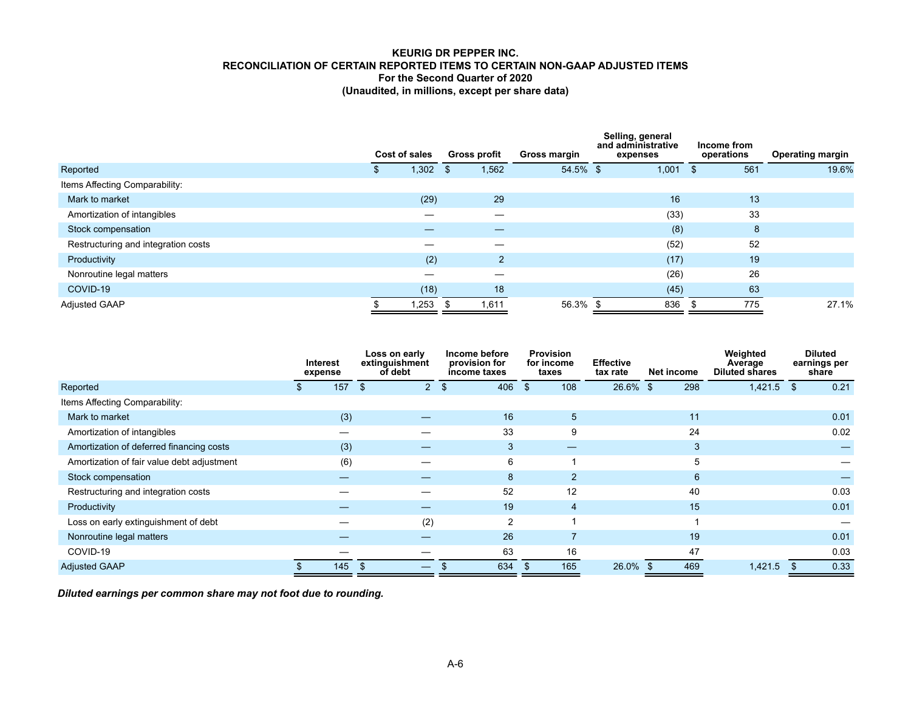#### **KEURIG DR PEPPER INC. RECONCILIATION OF CERTAIN REPORTED ITEMS TO CERTAIN NON-GAAP ADJUSTED ITEMS For the Second Quarter of 2020 (Unaudited, in millions, except per share data)**

|                                     |     | Cost of sales | <b>Gross profit</b>     | Gross margin | Selling, general<br>and administrative<br>expenses | Income from<br>operations | <b>Operating margin</b> |
|-------------------------------------|-----|---------------|-------------------------|--------------|----------------------------------------------------|---------------------------|-------------------------|
| Reported                            | Эħ. | 1,302         | 1,562<br>$\mathfrak{F}$ | $54.5\%$ \$  | 1,001                                              | 561<br>-\$                | 19.6%                   |
| Items Affecting Comparability:      |     |               |                         |              |                                                    |                           |                         |
| Mark to market                      |     | (29)          | 29                      |              | 16                                                 | 13                        |                         |
| Amortization of intangibles         |     |               |                         |              | (33)                                               | 33                        |                         |
| Stock compensation                  |     |               |                         |              | (8)                                                | 8                         |                         |
| Restructuring and integration costs |     |               |                         |              | (52)                                               | 52                        |                         |
| Productivity                        |     | (2)           | $\overline{2}$          |              | (17)                                               | 19                        |                         |
| Nonroutine legal matters            |     |               |                         |              | (26)                                               | 26                        |                         |
| COVID-19                            |     | (18)          | 18                      |              | (45)                                               | 63                        |                         |
| Adjusted GAAP                       |     | 253, ا        | 1,611                   | 56.3%        | 836                                                | 775                       | 27.1%                   |

|                                            | <b>Interest</b><br>expense | Loss on early<br>extinguishment<br>of debt | Income before<br>provision for<br>income taxes | <b>Provision</b><br>for income<br>taxes | <b>Effective</b><br>tax rate | Net income | Weighted<br>Average<br><b>Diluted shares</b> | <b>Diluted</b><br>earnings per<br>share |
|--------------------------------------------|----------------------------|--------------------------------------------|------------------------------------------------|-----------------------------------------|------------------------------|------------|----------------------------------------------|-----------------------------------------|
| Reported                                   | 157<br>J.                  | 2 <sup>1</sup><br>\$                       | 406<br>-\$                                     | 108<br>-\$                              | 26.6% \$                     | 298        | 1,421.5                                      | 0.21<br>-\$                             |
| Items Affecting Comparability:             |                            |                                            |                                                |                                         |                              |            |                                              |                                         |
| Mark to market                             | (3)                        |                                            | 16                                             | 5                                       |                              | 11         |                                              | 0.01                                    |
| Amortization of intangibles                |                            |                                            | 33                                             | 9                                       |                              | 24         |                                              | 0.02                                    |
| Amortization of deferred financing costs   | (3)                        |                                            | 3                                              |                                         |                              | 3          |                                              |                                         |
| Amortization of fair value debt adjustment | (6)                        |                                            | 6                                              |                                         |                              | 5          |                                              |                                         |
| Stock compensation                         |                            |                                            | 8                                              | $\overline{2}$                          |                              | 6          |                                              |                                         |
| Restructuring and integration costs        |                            |                                            | 52                                             | 12                                      |                              | 40         |                                              | 0.03                                    |
| Productivity                               |                            | —                                          | 19                                             | $\overline{4}$                          |                              | 15         |                                              | 0.01                                    |
| Loss on early extinguishment of debt       |                            | (2)                                        | 2                                              |                                         |                              |            |                                              |                                         |
| Nonroutine legal matters                   |                            | —                                          | 26                                             | 7                                       |                              | 19         |                                              | 0.01                                    |
| COVID-19                                   |                            |                                            | 63                                             | 16                                      |                              | 47         |                                              | 0.03                                    |
| <b>Adjusted GAAP</b>                       | 145                        | \$                                         | 634                                            | 165                                     | 26.0% \$                     | 469        | 1,421.5                                      | 0.33                                    |

*Diluted earnings per common share may not foot due to rounding.*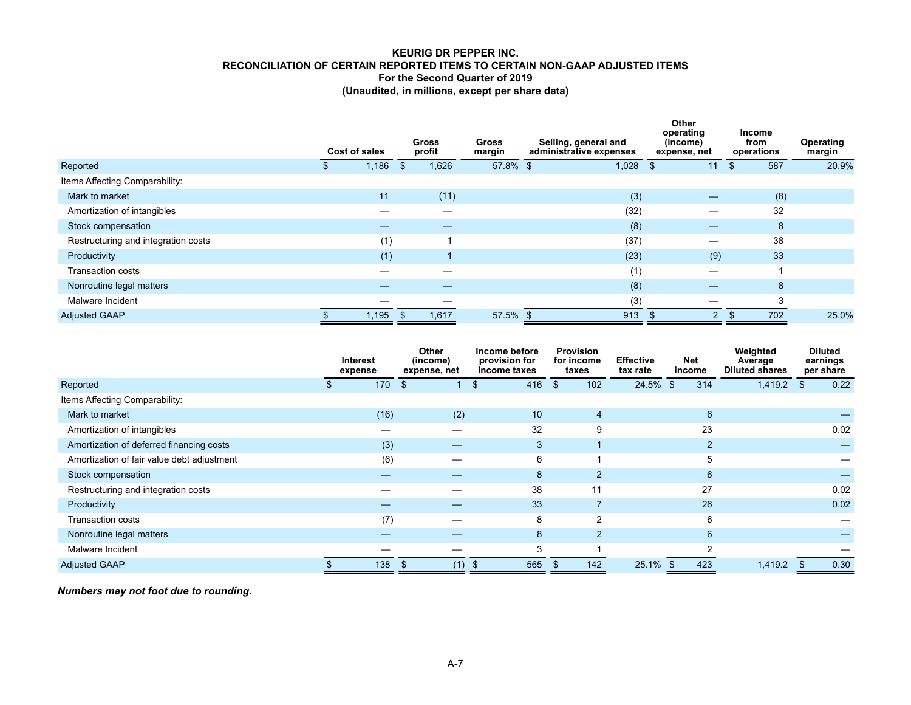#### **KEURIG DR PEPPER INC. RECONCILIATION OF CERTAIN REPORTED ITEMS TO CERTAIN NON-GAAP ADJUSTED ITEMS For the Second Quarter of 2019 (Unaudited, in millions, except per share data)**

|                                     |    | Cost of sales |               | <b>Gross</b><br>profit | Gross<br>margin | Selling, general and<br>administrative expenses |     | Other<br>operating<br>(income)<br>expense, net |     | Income<br>from<br>operations | Operating<br>margin |
|-------------------------------------|----|---------------|---------------|------------------------|-----------------|-------------------------------------------------|-----|------------------------------------------------|-----|------------------------------|---------------------|
| Reported                            | J. | 1,186         | <sup>\$</sup> | 1,626                  | 57.8% \$        | 1,028                                           | -\$ | 11                                             | -\$ | 587                          | 20.9%               |
| Items Affecting Comparability:      |    |               |               |                        |                 |                                                 |     |                                                |     |                              |                     |
| Mark to market                      |    | 11            |               | (11)                   |                 | (3)                                             |     | —                                              |     | (8)                          |                     |
| Amortization of intangibles         |    |               |               |                        |                 | (32)                                            |     |                                                |     | 32                           |                     |
| Stock compensation                  |    |               |               |                        |                 | (8)                                             |     | —                                              |     | 8                            |                     |
| Restructuring and integration costs |    | (1)           |               |                        |                 | (37)                                            |     |                                                |     | 38                           |                     |
| Productivity                        |    | (1)           |               |                        |                 | (23)                                            |     | (9)                                            |     | 33 <sup>°</sup>              |                     |
| Transaction costs                   |    |               |               |                        |                 | (1)                                             |     | –                                              |     |                              |                     |
| Nonroutine legal matters            |    |               |               |                        |                 | (8)                                             |     | —                                              |     | 8                            |                     |
| Malware Incident                    |    |               |               | –                      |                 | (3)                                             |     |                                                |     | 3                            |                     |
| <b>Adjusted GAAP</b>                |    | 1,195         |               | 1,617                  | 57.5%           | 913                                             |     | $\overline{2}$                                 | -S  | 702                          | 25.0%               |

|                                            | Interest<br>expense | Other<br>(income)<br>expense, net | Income before<br>provision for<br>income taxes | <b>Provision</b><br>for income<br>taxes |                | <b>Effective</b><br>tax rate | Net<br>income | Weighted<br>Average<br><b>Diluted shares</b> |     | <b>Diluted</b><br>earnings<br>per share |
|--------------------------------------------|---------------------|-----------------------------------|------------------------------------------------|-----------------------------------------|----------------|------------------------------|---------------|----------------------------------------------|-----|-----------------------------------------|
| Reported                                   | 170                 | \$                                | 416<br>- \$                                    | -\$                                     | 102            | 24.5% \$                     | 314           | 1,419.2                                      | -SS | 0.22                                    |
| Items Affecting Comparability:             |                     |                                   |                                                |                                         |                |                              |               |                                              |     |                                         |
| Mark to market                             | (16)                | (2)                               | 10                                             |                                         | $\overline{4}$ |                              | 6             |                                              |     |                                         |
| Amortization of intangibles                | –                   |                                   | 32                                             |                                         | 9              |                              | 23            |                                              |     | 0.02                                    |
| Amortization of deferred financing costs   | (3)                 |                                   | 3                                              |                                         |                |                              | 2             |                                              |     |                                         |
| Amortization of fair value debt adjustment | (6)                 |                                   | 6                                              |                                         |                |                              | 5             |                                              |     |                                         |
| Stock compensation                         |                     |                                   | 8                                              |                                         | $\overline{2}$ |                              | 6             |                                              |     |                                         |
| Restructuring and integration costs        |                     |                                   | 38                                             |                                         | 11             |                              | 27            |                                              |     | 0.02                                    |
| Productivity                               |                     |                                   | 33 <sup>°</sup>                                |                                         | 7              |                              | 26            |                                              |     | 0.02                                    |
| <b>Transaction costs</b>                   | (7)                 |                                   | 8                                              |                                         | 2              |                              | 6             |                                              |     |                                         |
| Nonroutine legal matters                   |                     |                                   | 8                                              |                                         | $\overline{2}$ |                              | 6             |                                              |     |                                         |
| Malware Incident                           |                     |                                   | 3                                              |                                         |                |                              |               |                                              |     |                                         |
| <b>Adjusted GAAP</b>                       | 138                 | \$<br>(1)                         | 565<br>- \$                                    | - \$                                    | 142            | 25.1%                        | 423           | 1,419.2                                      |     | 0.30                                    |

*Numbers may not foot due to rounding.*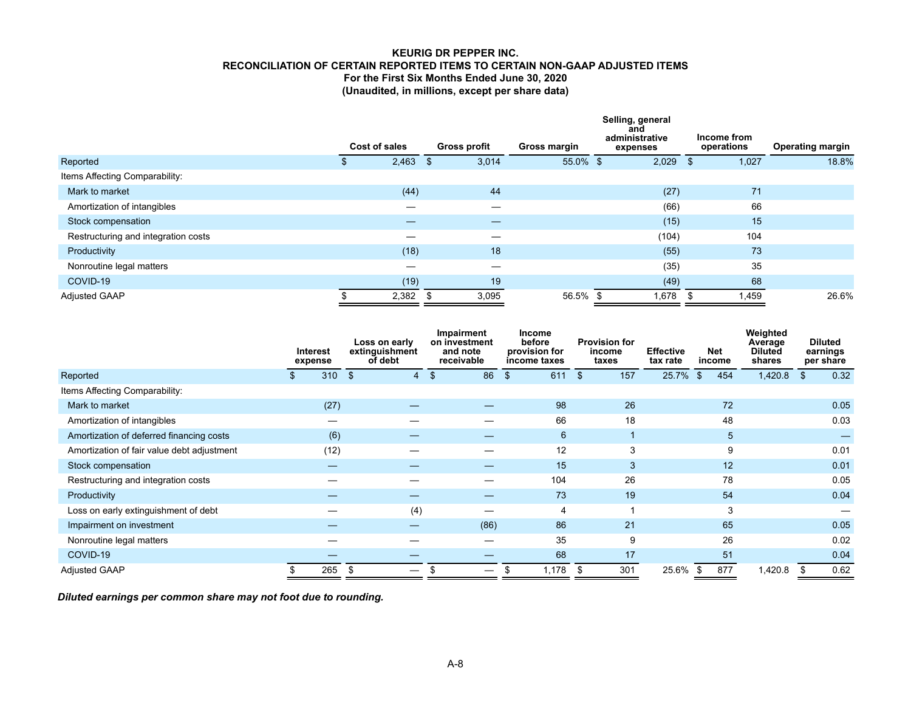#### **KEURIG DR PEPPER INC. RECONCILIATION OF CERTAIN REPORTED ITEMS TO CERTAIN NON-GAAP ADJUSTED ITEMS For the First Six Months Ended June 30, 2020 (Unaudited, in millions, except per share data)**

|                                     | Cost of sales |            |      | Gross profit | Gross margin | Selling, general<br>and<br>administrative<br>expenses |    | Income from<br>operations | <b>Operating margin</b> |
|-------------------------------------|---------------|------------|------|--------------|--------------|-------------------------------------------------------|----|---------------------------|-------------------------|
| Reported                            | ა             | $2,463$ \$ |      | 3,014        | 55.0% \$     | 2,029                                                 | \$ | 1,027                     | 18.8%                   |
| Items Affecting Comparability:      |               |            |      |              |              |                                                       |    |                           |                         |
| Mark to market                      |               | (44)       |      | 44           |              | (27)                                                  |    | 71                        |                         |
| Amortization of intangibles         |               |            |      |              |              | (66)                                                  |    | 66                        |                         |
| Stock compensation                  |               |            |      |              |              | (15)                                                  |    | 15                        |                         |
| Restructuring and integration costs |               |            |      |              |              | (104)                                                 |    | 104                       |                         |
| Productivity                        |               | (18)       |      | 18           |              | (55)                                                  |    | 73                        |                         |
| Nonroutine legal matters            |               |            |      |              |              | (35)                                                  |    | 35                        |                         |
| COVID-19                            |               | (19)       |      | 19           |              | (49)                                                  |    | 68                        |                         |
| <b>Adjusted GAAP</b>                |               | 2,382      | - 35 | 3,095        | 56.5%        | 1,678                                                 | ৾ঌ | 1,459                     | 26.6%                   |

|                                            | Interest<br>expense | Loss on early<br>extinguishment<br>of debt | Impairment<br>on investment<br>and note<br>receivable | Income<br>before<br>provision for<br>income taxes | <b>Provision for</b><br>income<br>taxes | <b>Effective</b><br>tax rate | <b>Net</b><br>income | Weighted<br>Average<br><b>Diluted</b><br>shares | <b>Diluted</b><br>earnings<br>per share |
|--------------------------------------------|---------------------|--------------------------------------------|-------------------------------------------------------|---------------------------------------------------|-----------------------------------------|------------------------------|----------------------|-------------------------------------------------|-----------------------------------------|
| Reported                                   | 310                 | \$<br>4                                    | \$<br>86                                              | 611<br>\$                                         | \$<br>157                               | 25.7%                        | \$<br>454            | 1,420.8                                         | \$<br>0.32                              |
| Items Affecting Comparability:             |                     |                                            |                                                       |                                                   |                                         |                              |                      |                                                 |                                         |
| Mark to market                             | (27)                |                                            |                                                       | 98                                                | 26                                      |                              | 72                   |                                                 | 0.05                                    |
| Amortization of intangibles                |                     |                                            |                                                       | 66                                                | 18                                      |                              | 48                   |                                                 | 0.03                                    |
| Amortization of deferred financing costs   | (6)                 |                                            |                                                       | $6\phantom{1}$                                    |                                         |                              | 5                    |                                                 |                                         |
| Amortization of fair value debt adjustment | (12)                |                                            |                                                       | 12                                                | 3                                       |                              | 9                    |                                                 | 0.01                                    |
| Stock compensation                         |                     |                                            |                                                       | 15                                                | 3                                       |                              | 12                   |                                                 | 0.01                                    |
| Restructuring and integration costs        |                     |                                            |                                                       | 104                                               | 26                                      |                              | 78                   |                                                 | 0.05                                    |
| Productivity                               |                     |                                            |                                                       | 73                                                | 19                                      |                              | 54                   |                                                 | 0.04                                    |
| Loss on early extinguishment of debt       |                     | (4)                                        | —                                                     | 4                                                 |                                         |                              | 3                    |                                                 |                                         |
| Impairment on investment                   |                     |                                            | (86)                                                  | 86                                                | 21                                      |                              | 65                   |                                                 | 0.05                                    |
| Nonroutine legal matters                   |                     |                                            | —                                                     | 35                                                | 9                                       |                              | 26                   |                                                 | 0.02                                    |
| COVID-19                                   |                     |                                            |                                                       | 68                                                | 17                                      |                              | 51                   |                                                 | 0.04                                    |
| Adjusted GAAP                              | 265                 | \$                                         | \$<br>—                                               | 1,178                                             | \$<br>301                               | 25.6%                        | \$<br>877            | 1,420.8                                         | 0.62                                    |

*Diluted earnings per common share may not foot due to rounding.*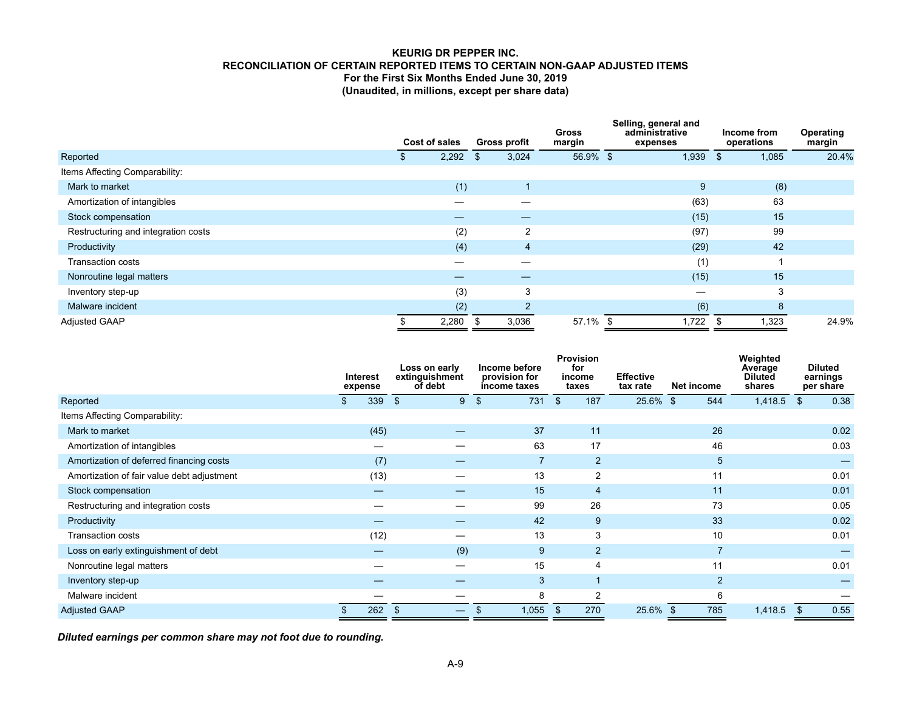#### **KEURIG DR PEPPER INC. RECONCILIATION OF CERTAIN REPORTED ITEMS TO CERTAIN NON-GAAP ADJUSTED ITEMS For the First Six Months Ended June 30, 2019 (Unaudited, in millions, except per share data)**

|                                     | Cost of sales |       | <b>Gross profit</b> |               | <b>Gross</b><br>margin | Selling, general and<br>administrative<br>expenses | Income from<br>operations | Operating<br>margin |
|-------------------------------------|---------------|-------|---------------------|---------------|------------------------|----------------------------------------------------|---------------------------|---------------------|
| Reported                            | Ψ.            | 2,292 | \$                  | 3,024         | 56.9% \$               | 1,939                                              | \$<br>1,085               | 20.4%               |
| Items Affecting Comparability:      |               |       |                     |               |                        |                                                    |                           |                     |
| Mark to market                      |               | (1)   |                     |               |                        | 9                                                  | (8)                       |                     |
| Amortization of intangibles         |               |       |                     |               |                        | (63)                                               | 63                        |                     |
| Stock compensation                  |               |       |                     |               |                        | (15)                                               | 15                        |                     |
| Restructuring and integration costs |               | (2)   |                     | 2             |                        | (97)                                               | 99                        |                     |
| Productivity                        |               | (4)   |                     | 4             |                        | (29)                                               | 42                        |                     |
| Transaction costs                   |               |       |                     |               |                        | (1)                                                |                           |                     |
| Nonroutine legal matters            |               | –     |                     |               |                        | (15)                                               | 15                        |                     |
| Inventory step-up                   |               | (3)   |                     | 3             |                        | —                                                  | 3                         |                     |
| Malware incident                    |               | (2)   |                     | $\mathcal{P}$ |                        | (6)                                                | 8                         |                     |
| <b>Adjusted GAAP</b>                |               | 2,280 |                     | 3,036         | 57.1%                  | 1,722                                              | 1,323                     | 24.9%               |

|                                            | Interest<br>expense |      | Loss on early<br>extinguishment<br>of debt | Income before<br>provision for<br>income taxes |                | <b>Provision</b><br>for<br>income<br>taxes | <b>Effective</b><br>tax rate | Net income      | Weighted<br>Average<br><b>Diluted</b><br>shares | <b>Diluted</b><br>earnings<br>per share |
|--------------------------------------------|---------------------|------|--------------------------------------------|------------------------------------------------|----------------|--------------------------------------------|------------------------------|-----------------|-------------------------------------------------|-----------------------------------------|
| Reported                                   |                     | 339  | 9<br>-\$                                   | \$                                             | 731            | \$<br>187                                  | 25.6% \$                     | 544             | 1,418.5                                         | 0.38<br>-\$                             |
| Items Affecting Comparability:             |                     |      |                                            |                                                |                |                                            |                              |                 |                                                 |                                         |
| Mark to market                             |                     | (45) |                                            |                                                | 37             | 11                                         |                              | 26              |                                                 | 0.02                                    |
| Amortization of intangibles                |                     |      |                                            |                                                | 63             | 17                                         |                              | 46              |                                                 | 0.03                                    |
| Amortization of deferred financing costs   |                     | (7)  |                                            |                                                | $\overline{7}$ | $\overline{2}$                             |                              | 5               |                                                 |                                         |
| Amortization of fair value debt adjustment |                     | (13) |                                            |                                                | 13             | 2                                          |                              | 11              |                                                 | 0.01                                    |
| Stock compensation                         |                     |      |                                            |                                                | 15             | $\overline{4}$                             |                              | 11              |                                                 | 0.01                                    |
| Restructuring and integration costs        |                     |      |                                            |                                                | 99             | 26                                         |                              | 73              |                                                 | 0.05                                    |
| Productivity                               |                     |      |                                            |                                                | 42             | 9                                          |                              | 33 <sup>°</sup> |                                                 | 0.02                                    |
| <b>Transaction costs</b>                   |                     | (12) |                                            |                                                | 13             | 3                                          |                              | 10              |                                                 | 0.01                                    |
| Loss on early extinguishment of debt       |                     |      | (9)                                        |                                                | 9              | 2                                          |                              | $\overline{7}$  |                                                 |                                         |
| Nonroutine legal matters                   |                     |      |                                            |                                                | 15             | 4                                          |                              | 11              |                                                 | 0.01                                    |
| Inventory step-up                          |                     |      |                                            |                                                | 3              |                                            |                              | $\overline{2}$  |                                                 |                                         |
| Malware incident                           |                     |      |                                            |                                                | 8              | $\overline{2}$                             |                              | 6               |                                                 |                                         |
| <b>Adjusted GAAP</b>                       |                     | 262  | -S                                         | -55                                            | 1,055          | \$<br>270                                  | 25.6%                        | 785             | 1,418.5                                         | 0.55                                    |

*Diluted earnings per common share may not foot due to rounding.*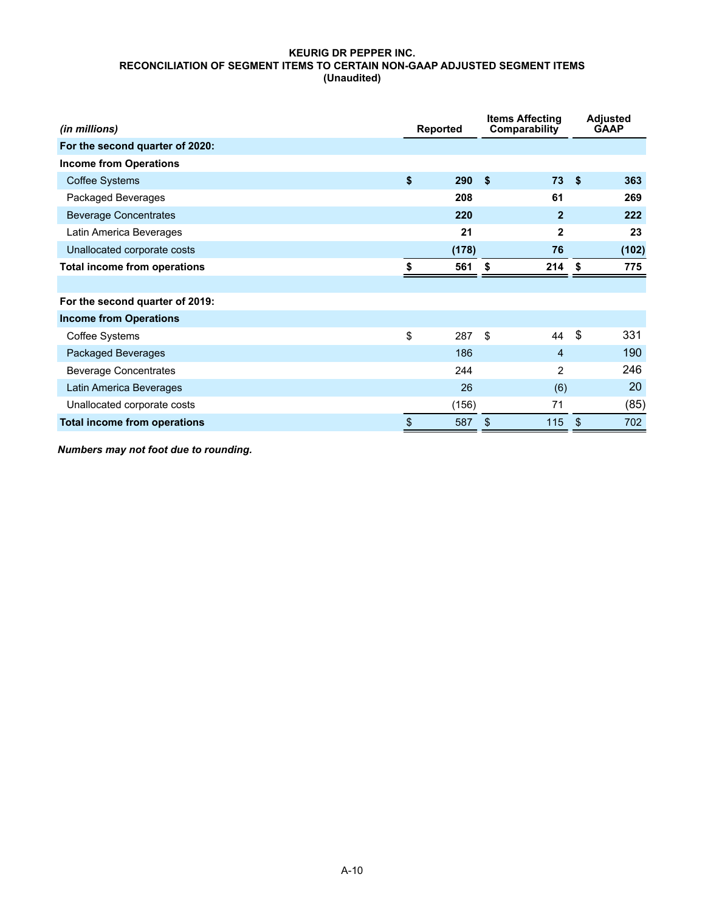#### **KEURIG DR PEPPER INC. RECONCILIATION OF SEGMENT ITEMS TO CERTAIN NON-GAAP ADJUSTED SEGMENT ITEMS (Unaudited)**

| (in millions)                       | Reported  | <b>Items Affecting</b><br>Comparability | <b>Adjusted</b><br><b>GAAP</b> |
|-------------------------------------|-----------|-----------------------------------------|--------------------------------|
| For the second quarter of 2020:     |           |                                         |                                |
| <b>Income from Operations</b>       |           |                                         |                                |
| <b>Coffee Systems</b>               | \$<br>290 | 73<br>-\$                               | $\sqrt{5}$<br>363              |
| Packaged Beverages                  | 208       | 61                                      | 269                            |
| <b>Beverage Concentrates</b>        | 220       | $\overline{2}$                          | 222                            |
| Latin America Beverages             | 21        | $\mathbf{2}$                            | 23                             |
| Unallocated corporate costs         | (178)     | 76                                      | (102)                          |
| <b>Total income from operations</b> | 561<br>S  | 214<br>S.                               | Ŝ.<br>775                      |
|                                     |           |                                         |                                |
| For the second quarter of 2019:     |           |                                         |                                |
| <b>Income from Operations</b>       |           |                                         |                                |
| Coffee Systems                      | \$<br>287 | \$<br>44                                | \$<br>331                      |
| Packaged Beverages                  | 186       | 4                                       | 190                            |
| <b>Beverage Concentrates</b>        | 244       | 2                                       | 246                            |
| Latin America Beverages             | 26        | (6)                                     | 20                             |
| Unallocated corporate costs         | (156)     | 71                                      | (85)                           |
| <b>Total income from operations</b> | 587<br>\$ | 115<br>\$                               | \$<br>702                      |

*Numbers may not foot due to rounding.*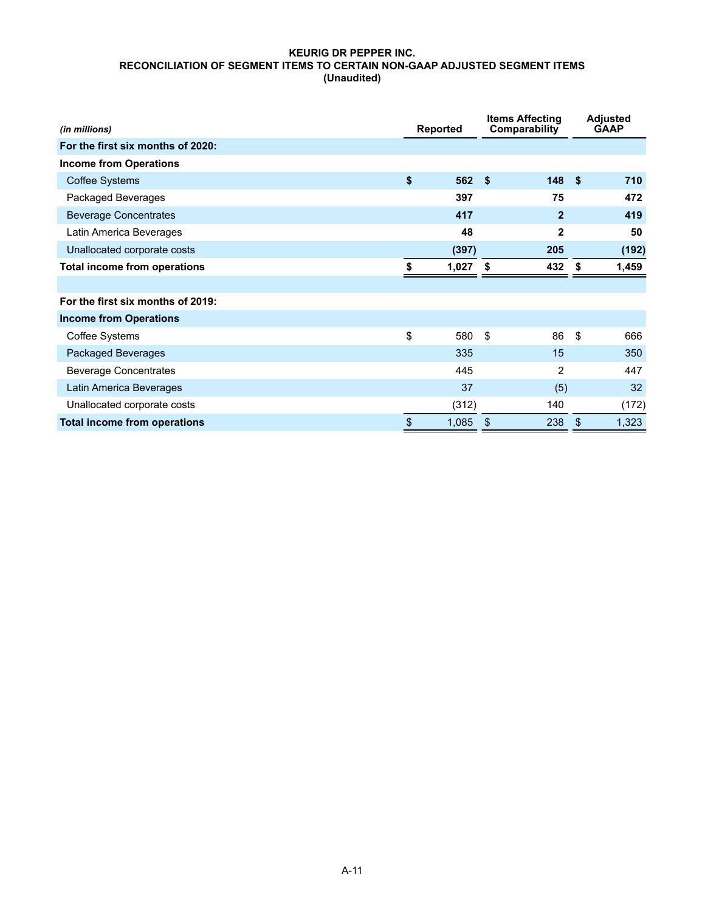#### **KEURIG DR PEPPER INC. RECONCILIATION OF SEGMENT ITEMS TO CERTAIN NON-GAAP ADJUSTED SEGMENT ITEMS (Unaudited)**

| (in millions)                       | Reported    |     | <b>Items Affecting</b><br>Comparability |     | <b>Adjusted</b><br><b>GAAP</b> |
|-------------------------------------|-------------|-----|-----------------------------------------|-----|--------------------------------|
| For the first six months of 2020:   |             |     |                                         |     |                                |
| <b>Income from Operations</b>       |             |     |                                         |     |                                |
| <b>Coffee Systems</b>               | \$<br>562   | -\$ | $148$ \$                                |     | 710                            |
| Packaged Beverages                  | 397         |     | 75                                      |     | 472                            |
| <b>Beverage Concentrates</b>        | 417         |     | $\mathbf{2}$                            |     | 419                            |
| Latin America Beverages             | 48          |     | $\mathbf{2}$                            |     | 50                             |
| Unallocated corporate costs         | (397)       |     | 205                                     |     | (192)                          |
| <b>Total income from operations</b> | \$<br>1,027 | \$  | 432                                     | \$  | 1,459                          |
|                                     |             |     |                                         |     |                                |
| For the first six months of 2019:   |             |     |                                         |     |                                |
| <b>Income from Operations</b>       |             |     |                                         |     |                                |
| Coffee Systems                      | \$<br>580   | \$  | 86                                      | -\$ | 666                            |
| Packaged Beverages                  | 335         |     | 15                                      |     | 350                            |
| <b>Beverage Concentrates</b>        | 445         |     | $\overline{2}$                          |     | 447                            |
| Latin America Beverages             | 37          |     | (5)                                     |     | 32                             |
| Unallocated corporate costs         | (312)       |     | 140                                     |     | (172)                          |
| <b>Total income from operations</b> | \$<br>1,085 | \$  | 238                                     | \$  | 1,323                          |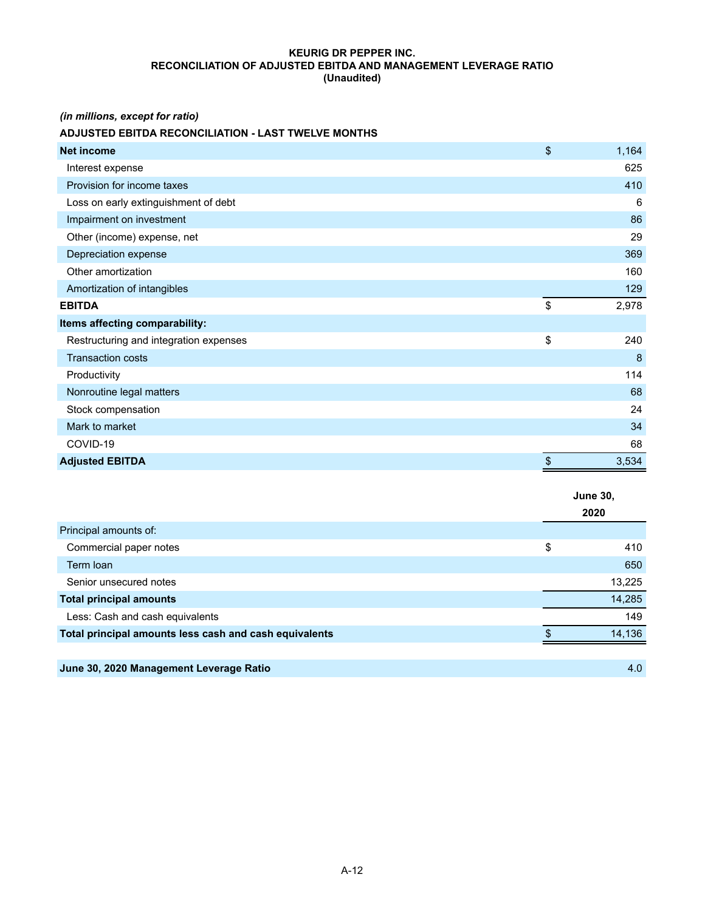#### **KEURIG DR PEPPER INC. RECONCILIATION OF ADJUSTED EBITDA AND MANAGEMENT LEVERAGE RATIO (Unaudited)**

## *(in millions, except for ratio)*

## **ADJUSTED EBITDA RECONCILIATION - LAST TWELVE MONTHS**

| <b>Net income</b>                      | $\boldsymbol{\$}$ | 1,164 |
|----------------------------------------|-------------------|-------|
| Interest expense                       |                   | 625   |
| Provision for income taxes             |                   | 410   |
| Loss on early extinguishment of debt   |                   | 6     |
| Impairment on investment               |                   | 86    |
| Other (income) expense, net            |                   | 29    |
| Depreciation expense                   |                   | 369   |
| Other amortization                     |                   | 160   |
| Amortization of intangibles            |                   | 129   |
| <b>EBITDA</b>                          | \$                | 2,978 |
| Items affecting comparability:         |                   |       |
| Restructuring and integration expenses | \$                | 240   |
| <b>Transaction costs</b>               |                   | 8     |
| Productivity                           |                   | 114   |
| Nonroutine legal matters               |                   | 68    |
| Stock compensation                     |                   | 24    |
| Mark to market                         |                   | 34    |
| COVID-19                               |                   | 68    |
| <b>Adjusted EBITDA</b>                 | \$                | 3,534 |

|                                                        | <b>June 30,</b> |
|--------------------------------------------------------|-----------------|
|                                                        | 2020            |
| Principal amounts of:                                  |                 |
| Commercial paper notes                                 | \$<br>410       |
| Term Ioan                                              | 650             |
| Senior unsecured notes                                 | 13,225          |
| <b>Total principal amounts</b>                         | 14,285          |
| Less: Cash and cash equivalents                        | 149             |
| Total principal amounts less cash and cash equivalents | 14,136          |
|                                                        |                 |
| June 30, 2020 Management Leverage Ratio                | 4.0             |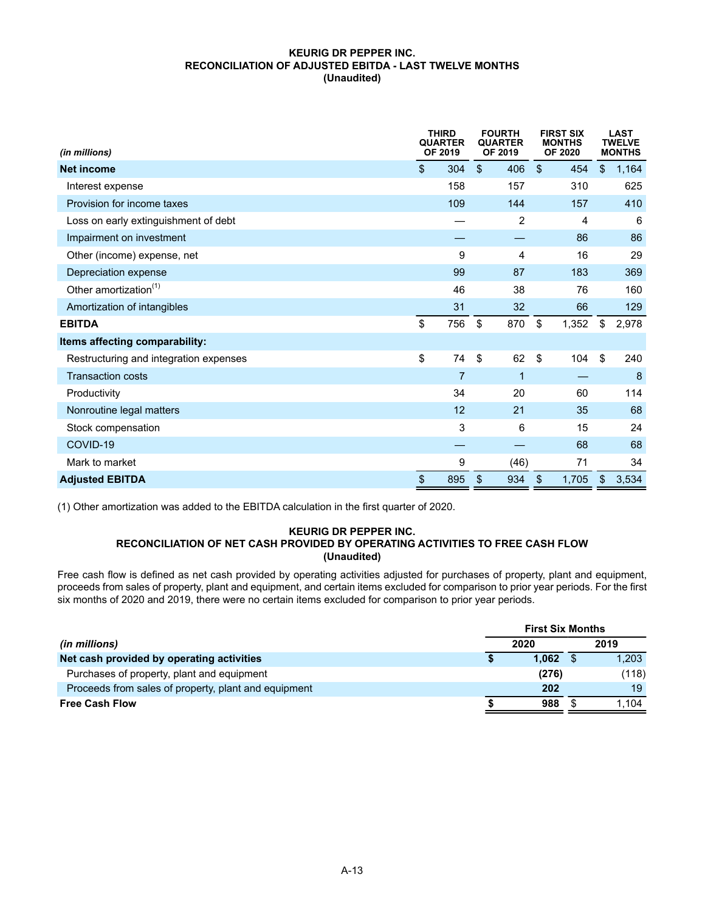#### **KEURIG DR PEPPER INC. RECONCILIATION OF ADJUSTED EBITDA - LAST TWELVE MONTHS (Unaudited)**

| (in millions)                          | <b>THIRD</b><br><b>QUARTER</b><br>OF 2019 | <b>FOURTH</b><br><b>QUARTER</b><br><b>OF 2019</b> |                | <b>FIRST SIX</b><br><b>MONTHS</b><br><b>OF 2020</b> |                | <b>LAST</b><br><b>TWELVE</b><br><b>MONTHS</b> |
|----------------------------------------|-------------------------------------------|---------------------------------------------------|----------------|-----------------------------------------------------|----------------|-----------------------------------------------|
| <b>Net income</b>                      | \$<br>304                                 | \$<br>406                                         | $\mathfrak{F}$ | 454                                                 | $\mathfrak{F}$ | 1,164                                         |
| Interest expense                       | 158                                       | 157                                               |                | 310                                                 |                | 625                                           |
| Provision for income taxes             | 109                                       | 144                                               |                | 157                                                 |                | 410                                           |
| Loss on early extinguishment of debt   |                                           | 2                                                 |                | 4                                                   |                | 6                                             |
| Impairment on investment               |                                           |                                                   |                | 86                                                  |                | 86                                            |
| Other (income) expense, net            | 9                                         | 4                                                 |                | 16                                                  |                | 29                                            |
| Depreciation expense                   | 99                                        | 87                                                |                | 183                                                 |                | 369                                           |
| Other amortization <sup>(1)</sup>      | 46                                        | 38                                                |                | 76                                                  |                | 160                                           |
| Amortization of intangibles            | 31                                        | 32                                                |                | 66                                                  |                | 129                                           |
| <b>EBITDA</b>                          | \$<br>756                                 | \$<br>870                                         | \$             | 1,352                                               | \$             | 2,978                                         |
| Items affecting comparability:         |                                           |                                                   |                |                                                     |                |                                               |
| Restructuring and integration expenses | \$<br>74                                  | \$<br>62                                          | \$             | 104                                                 | \$             | 240                                           |
| <b>Transaction costs</b>               | $\overline{7}$                            | $\mathbf{1}$                                      |                |                                                     |                | 8                                             |
| Productivity                           | 34                                        | 20                                                |                | 60                                                  |                | 114                                           |
| Nonroutine legal matters               | 12                                        | 21                                                |                | 35                                                  |                | 68                                            |
| Stock compensation                     | 3                                         | 6                                                 |                | 15                                                  |                | 24                                            |
| COVID-19                               |                                           |                                                   |                | 68                                                  |                | 68                                            |
| Mark to market                         | 9                                         | (46)                                              |                | 71                                                  |                | 34                                            |
| <b>Adjusted EBITDA</b>                 | \$<br>895                                 | \$<br>934                                         | \$             | 1,705                                               | $\mathfrak{F}$ | 3,534                                         |

(1) Other amortization was added to the EBITDA calculation in the first quarter of 2020.

#### **KEURIG DR PEPPER INC. RECONCILIATION OF NET CASH PROVIDED BY OPERATING ACTIVITIES TO FREE CASH FLOW (Unaudited)**

Free cash flow is defined as net cash provided by operating activities adjusted for purchases of property, plant and equipment, proceeds from sales of property, plant and equipment, and certain items excluded for comparison to prior year periods. For the first six months of 2020 and 2019, there were no certain items excluded for comparison to prior year periods.

|                                                      | <b>First Six Months</b> |       |  |       |  |
|------------------------------------------------------|-------------------------|-------|--|-------|--|
| (in millions)                                        |                         | 2020  |  | 2019  |  |
| Net cash provided by operating activities            |                         | 1.062 |  | 1.203 |  |
| Purchases of property, plant and equipment           |                         | (276) |  | (118) |  |
| Proceeds from sales of property, plant and equipment |                         | 202   |  | 19    |  |
| <b>Free Cash Flow</b>                                |                         | 988   |  | 1.104 |  |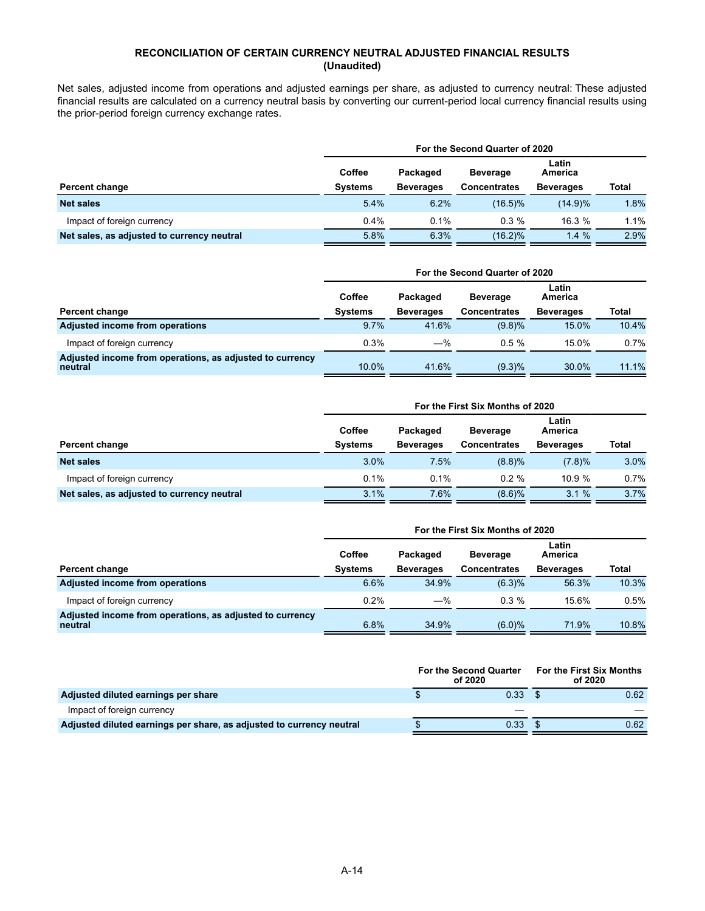#### **RECONCILIATION OF CERTAIN CURRENCY NEUTRAL ADJUSTED FINANCIAL RESULTS (Unaudited)**

Net sales, adjusted income from operations and adjusted earnings per share, as adjusted to currency neutral: These adjusted financial results are calculated on a currency neutral basis by converting our current-period local currency financial results using the prior-period foreign currency exchange rates.

|                                            |                | For the Second Quarter of 2020 |                     |                  |       |  |  |  |  |
|--------------------------------------------|----------------|--------------------------------|---------------------|------------------|-------|--|--|--|--|
|                                            | Coffee         | Packaged                       | <b>Beverage</b>     | Latin<br>America |       |  |  |  |  |
| <b>Percent change</b>                      | <b>Systems</b> | <b>Beverages</b>               | <b>Concentrates</b> | <b>Beverages</b> | Total |  |  |  |  |
| <b>Net sales</b>                           | 5.4%           | 6.2%                           | (16.5)%             | (14.9)%          | 1.8%  |  |  |  |  |
| Impact of foreign currency                 | 0.4%           | 0.1%                           | $0.3\%$             | 16.3 %           | 1.1%  |  |  |  |  |
| Net sales, as adjusted to currency neutral | 5.8%           | 6.3%                           | (16.2)%             | 1.4%             | 2.9%  |  |  |  |  |

|                                                                     | For the Second Quarter of 2020 |                  |                     |                  |              |  |  |  |
|---------------------------------------------------------------------|--------------------------------|------------------|---------------------|------------------|--------------|--|--|--|
|                                                                     | Coffee                         | Packaged         | <b>Beverage</b>     | Latin<br>America |              |  |  |  |
| Percent change                                                      | <b>Systems</b>                 | <b>Beverages</b> | <b>Concentrates</b> | <b>Beverages</b> | <b>Total</b> |  |  |  |
| Adjusted income from operations                                     | 9.7%                           | 41.6%            | (9.8)%              | 15.0%            | 10.4%        |  |  |  |
| Impact of foreign currency                                          | 0.3%                           | $-\%$            | $0.5\%$             | 15.0%            | $0.7\%$      |  |  |  |
| Adjusted income from operations, as adjusted to currency<br>neutral | 10.0%                          | 41.6%            | (9.3)%              | 30.0%            | 11.1%        |  |  |  |

|                                            |                | For the First Six Months of 2020 |                     |                  |       |  |  |  |  |
|--------------------------------------------|----------------|----------------------------------|---------------------|------------------|-------|--|--|--|--|
|                                            | Coffee         | Packaged                         | <b>Beverage</b>     | Latin<br>America |       |  |  |  |  |
| <b>Percent change</b>                      | <b>Systems</b> | <b>Beverages</b>                 | <b>Concentrates</b> | <b>Beverages</b> | Total |  |  |  |  |
| <b>Net sales</b>                           | 3.0%           | 7.5%                             | (8.8)%              | (7.8)%           | 3.0%  |  |  |  |  |
| Impact of foreign currency                 | 0.1%           | 0.1%                             | $0.2 \%$            | 10.9%            | 0.7%  |  |  |  |  |
| Net sales, as adjusted to currency neutral | 3.1%           | 7.6%                             | $(8.6)$ %           | 3.1%             | 3.7%  |  |  |  |  |

|                                                                     | For the First Six Months of 2020 |                  |                     |                  |              |  |  |  |
|---------------------------------------------------------------------|----------------------------------|------------------|---------------------|------------------|--------------|--|--|--|
|                                                                     | Coffee                           | Packaged         | <b>Beverage</b>     | Latin<br>America |              |  |  |  |
| Percent change                                                      | <b>Systems</b>                   | <b>Beverages</b> | <b>Concentrates</b> | <b>Beverages</b> | <b>Total</b> |  |  |  |
| Adjusted income from operations                                     | 6.6%                             | 34.9%            | (6.3)%              | 56.3%            | 10.3%        |  |  |  |
| Impact of foreign currency                                          | 0.2%                             | $-\%$            | $0.3\%$             | 15.6%            | 0.5%         |  |  |  |
| Adjusted income from operations, as adjusted to currency<br>neutral | 6.8%                             | 34.9%            | (6.0)%              | 71.9%            | 10.8%        |  |  |  |

|                                                                      | <b>For the Second Quarter</b><br>of 2020 | <b>For the First Six Months</b><br>of 2020 |      |  |
|----------------------------------------------------------------------|------------------------------------------|--------------------------------------------|------|--|
| Adjusted diluted earnings per share                                  | 0.33                                     |                                            | 0.62 |  |
| Impact of foreign currency                                           |                                          |                                            |      |  |
| Adjusted diluted earnings per share, as adjusted to currency neutral | 0.33                                     |                                            | 0.62 |  |